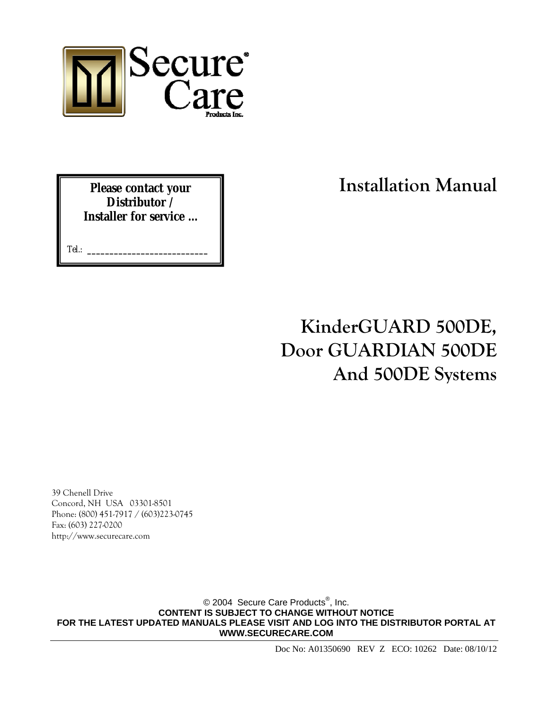

**Please contact your Distributor / Installer for service …** 

Tel.: **\_\_\_\_\_\_\_\_\_\_\_\_\_\_\_\_\_\_\_\_\_\_\_\_\_\_\_**

**Installation Manual**

# **KinderGUARD 500DE, Door GUARDIAN 500DE And 500DE Systems**

39 Chenell Drive Concord, NH USA 03301-8501 Phone: (800) 451-7917 / (603)223-0745 Fax: (603) 227-0200 http://www.securecare.com

© 2004 Secure Care Products<sup>®</sup>, Inc. **CONTENT IS SUBJECT TO CHANGE WITHOUT NOTICE FOR THE LATEST UPDATED MANUALS PLEASE VISIT AND LOG INTO THE DISTRIBUTOR PORTAL AT WWW.SECURECARE.COM**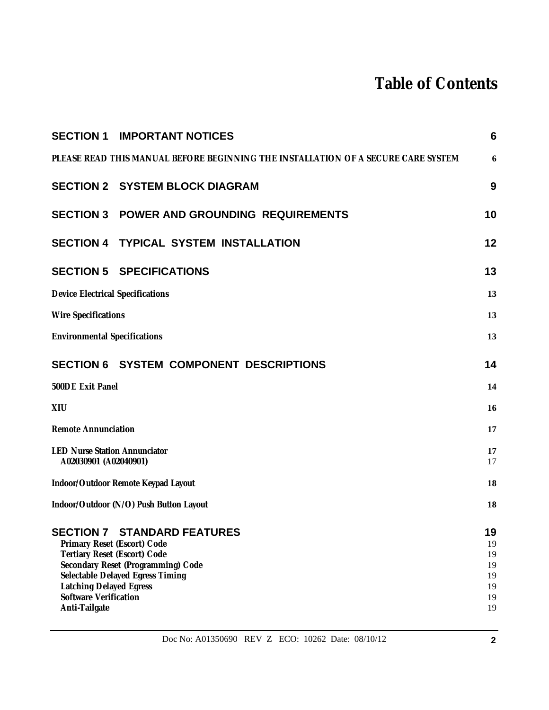# **Table of Contents**

|                                                                                                                                                | <b>SECTION 1 IMPORTANT NOTICES</b>                                                                           | $6\phantom{1}6$                              |
|------------------------------------------------------------------------------------------------------------------------------------------------|--------------------------------------------------------------------------------------------------------------|----------------------------------------------|
|                                                                                                                                                | PLEASE READ THIS MANUAL BEFORE BEGINNING THE INSTALLATION OF A SECURE CARE SYSTEM                            | 6                                            |
|                                                                                                                                                | <b>SECTION 2 SYSTEM BLOCK DIAGRAM</b>                                                                        | 9                                            |
|                                                                                                                                                | <b>SECTION 3 POWER AND GROUNDING REQUIREMENTS</b>                                                            | 10                                           |
|                                                                                                                                                | SECTION 4 TYPICAL SYSTEM INSTALLATION                                                                        | 12                                           |
|                                                                                                                                                | <b>SECTION 5 SPECIFICATIONS</b>                                                                              | 13                                           |
| <b>Device Electrical Specifications</b>                                                                                                        |                                                                                                              | 13                                           |
| <b>Wire Specifications</b>                                                                                                                     |                                                                                                              | 13                                           |
| <b>Environmental Specifications</b>                                                                                                            |                                                                                                              | 13                                           |
|                                                                                                                                                | <b>SECTION 6 SYSTEM COMPONENT DESCRIPTIONS</b>                                                               | 14                                           |
| 500DE Exit Panel                                                                                                                               |                                                                                                              | 14                                           |
| XIU                                                                                                                                            |                                                                                                              | 16                                           |
| <b>Remote Annunciation</b>                                                                                                                     |                                                                                                              | 17                                           |
| <b>LED Nurse Station Annunciator</b><br>A02030901 (A02040901)                                                                                  |                                                                                                              | 17<br>17                                     |
| Indoor/Outdoor Remote Keypad Layout                                                                                                            |                                                                                                              | 18                                           |
| Indoor/Outdoor (N/O) Push Button Layout                                                                                                        |                                                                                                              | 18                                           |
| Primary Reset (Escort) Code<br>Tertiary Reset (Escort) Code<br><b>Latching Delayed Egress</b><br><b>Software Verification</b><br>Anti-Tailgate | <b>SECTION 7 STANDARD FEATURES</b><br>Secondary Reset (Programming) Code<br>Selectable Delayed Egress Timing | 19<br>19<br>19<br>19<br>19<br>19<br>19<br>19 |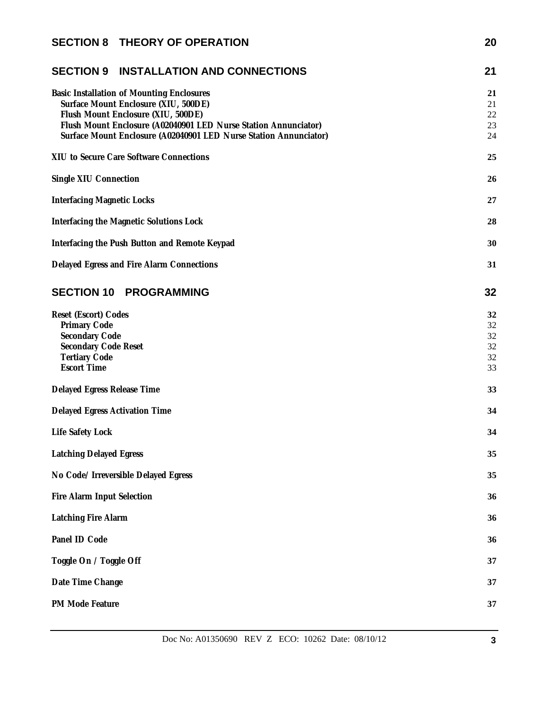| <b>SECTION 8 THEORY OF OPERATION</b>                                                                                                                                                                                                                                   | 20                               |
|------------------------------------------------------------------------------------------------------------------------------------------------------------------------------------------------------------------------------------------------------------------------|----------------------------------|
| <b>SECTION 9 INSTALLATION AND CONNECTIONS</b>                                                                                                                                                                                                                          | 21                               |
| <b>Basic Installation of Mounting Enclosures</b><br>Surface Mount Enclosure (XIU, 500DE)<br>Flush Mount Enclosure (XIU, 500DE)<br>Flush Mount Enclosure (A02040901 LED Nurse Station Annunciator)<br>Surface Mount Enclosure (A02040901 LED Nurse Station Annunciator) | 21<br>21<br>22<br>23<br>24       |
| XIU to Secure Care Software Connections                                                                                                                                                                                                                                | 25                               |
| Single XIU Connection                                                                                                                                                                                                                                                  | 26                               |
| <b>Interfacing Magnetic Locks</b>                                                                                                                                                                                                                                      | 27                               |
| Interfacing the Magnetic Solutions Lock                                                                                                                                                                                                                                | 28                               |
| Interfacing the Push Button and Remote Keypad                                                                                                                                                                                                                          | 30                               |
| Delayed Egress and Fire Alarm Connections                                                                                                                                                                                                                              | 31                               |
| <b>SECTION 10 PROGRAMMING</b>                                                                                                                                                                                                                                          | 32                               |
| Reset (Escort) Codes<br>Primary Code<br>Secondary Code<br><b>Secondary Code Reset</b><br><b>Tertiary Code</b><br><b>Escort Time</b>                                                                                                                                    | 32<br>32<br>32<br>32<br>32<br>33 |
| Delayed Egress Release Time                                                                                                                                                                                                                                            | 33                               |
| Delayed Egress Activation Time                                                                                                                                                                                                                                         | 34                               |
| Life Safety Lock                                                                                                                                                                                                                                                       | 34                               |
| <b>Latching Delayed Egress</b>                                                                                                                                                                                                                                         | 35                               |
| No Code/ Irreversible Delayed Egress                                                                                                                                                                                                                                   | 35                               |
| Fire Alarm Input Selection                                                                                                                                                                                                                                             | 36                               |
| <b>Latching Fire Alarm</b>                                                                                                                                                                                                                                             | 36                               |
| Panel ID Code                                                                                                                                                                                                                                                          | 36                               |
| Toggle On / Toggle Off                                                                                                                                                                                                                                                 | 37                               |
| Date Time Change                                                                                                                                                                                                                                                       | 37                               |
| PM Mode Feature                                                                                                                                                                                                                                                        | 37                               |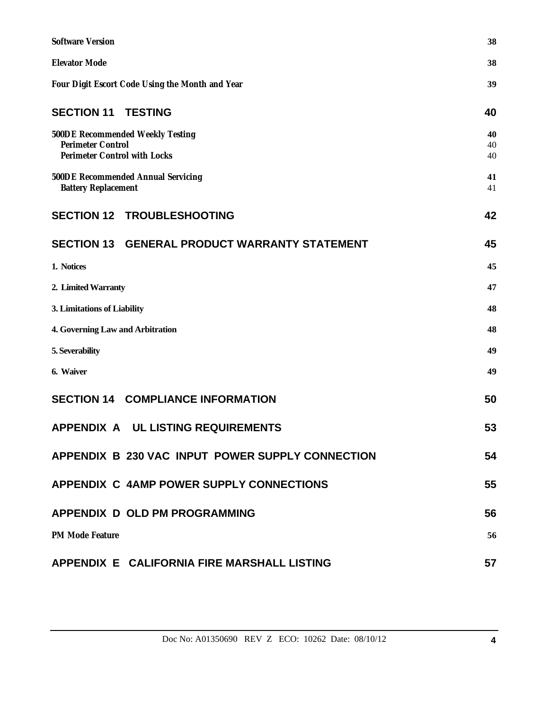| <b>Software Version</b>                                                                             | 38             |
|-----------------------------------------------------------------------------------------------------|----------------|
| <b>Elevator Mode</b>                                                                                | 38             |
| Four Digit Escort Code Using the Month and Year                                                     | 39             |
| <b>SECTION 11 TESTING</b>                                                                           | 40             |
| 500DE Recommended Weekly Testing<br><b>Perimeter Control</b><br><b>Perimeter Control with Locks</b> | 40<br>40<br>40 |
| 500DE Recommended Annual Servicing<br><b>Battery Replacement</b>                                    | 41<br>41       |
| <b>SECTION 12 TROUBLESHOOTING</b>                                                                   | 42             |
| <b>SECTION 13 GENERAL PRODUCT WARRANTY STATEMENT</b>                                                | 45             |
| 1. Notices                                                                                          | 45             |
| 2. Limited Warranty                                                                                 | 47             |
| 3. Limitations of Liability                                                                         | 48             |
| 4. Governing Law and Arbitration                                                                    | 48             |
| 5. Severability                                                                                     | 49             |
| 6. Waiver                                                                                           | 49             |
| <b>SECTION 14 COMPLIANCE INFORMATION</b>                                                            | 50             |
| APPENDIX A UL LISTING REQUIREMENTS                                                                  | 53             |
| APPENDIX B 230 VAC INPUT POWER SUPPLY CONNECTION                                                    | 54             |
| APPENDIX C 4AMP POWER SUPPLY CONNECTIONS                                                            | 55             |
| <b>APPENDIX D OLD PM PROGRAMMING</b>                                                                | 56             |
| <b>PM Mode Feature</b>                                                                              | 56             |
| APPENDIX E CALIFORNIA FIRE MARSHALL LISTING                                                         | 57             |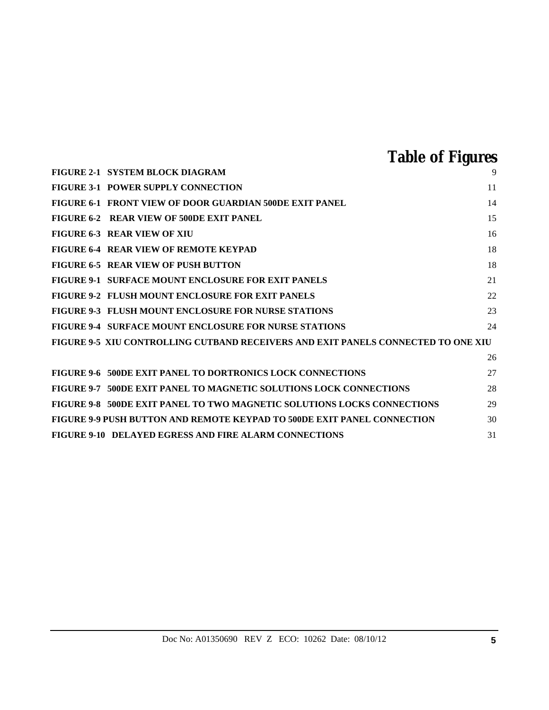# **Table of Figures**

| FIGURE 2-1 SYSTEM BLOCK DIAGRAM                                                   | 9  |
|-----------------------------------------------------------------------------------|----|
| FIGURE 3-1 POWER SUPPLY CONNECTION                                                | 11 |
| FIGURE 6-1 FRONT VIEW OF DOOR GUARDIAN 500DE EXIT PANEL                           | 14 |
| FIGURE 6-2 REAR VIEW OF 500DE EXIT PANEL                                          | 15 |
| <b>FIGURE 6-3 REAR VIEW OF XIU</b>                                                | 16 |
| FIGURE 6-4 REAR VIEW OF REMOTE KEYPAD                                             | 18 |
| FIGURE 6-5 REAR VIEW OF PUSH BUTTON                                               | 18 |
| <b>FIGURE 9-1 SURFACE MOUNT ENCLOSURE FOR EXIT PANELS</b>                         | 21 |
| <b>FIGURE 9-2 FLUSH MOUNT ENCLOSURE FOR EXIT PANELS</b>                           | 22 |
| <b>FIGURE 9-3 FLUSH MOUNT ENCLOSURE FOR NURSE STATIONS</b>                        | 23 |
| <b>FIGURE 9-4 SURFACE MOUNT ENCLOSURE FOR NURSE STATIONS</b>                      | 24 |
| FIGURE 9-5 XIU CONTROLLING CUTBAND RECEIVERS AND EXIT PANELS CONNECTED TO ONE XIU |    |
|                                                                                   | 26 |
| FIGURE 9-6 500DE EXIT PANEL TO DORTRONICS LOCK CONNECTIONS                        | 27 |
| FIGURE 9-7 500DE EXIT PANEL TO MAGNETIC SOLUTIONS LOCK CONNECTIONS                | 28 |
| FIGURE 9-8 500DE EXIT PANEL TO TWO MAGNETIC SOLUTIONS LOCKS CONNECTIONS           | 29 |
| FIGURE 9-9 PUSH BUTTON AND REMOTE KEYPAD TO 500DE EXIT PANEL CONNECTION           | 30 |
| <b>FIGURE 9-10 DELAYED EGRESS AND FIRE ALARM CONNECTIONS</b>                      | 31 |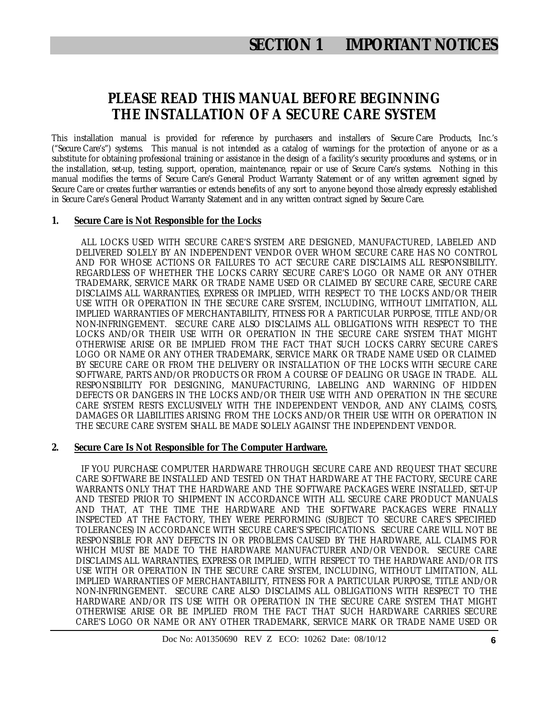### **PLEASE READ THIS MANUAL BEFORE BEGINNING THE INSTALLATION OF A SECURE CARE SYSTEM**

This installation manual is provided for reference by purchasers and installers of Secure Care Products, Inc.'s ("Secure Care's") systems. This manual is not intended as a catalog of warnings for the protection of anyone or as a substitute for obtaining professional training or assistance in the design of a facility's security procedures and systems, or in the installation, set-up, testing, support, operation, maintenance, repair or use of Secure Care's systems. Nothing in this manual modifies the terms of Secure Care's General Product Warranty Statement or of any written agreement signed by Secure Care or creates further warranties or extends benefits of any sort to anyone beyond those already expressly established in Secure Care's General Product Warranty Statement and in any written contract signed by Secure Care.

### **1. Secure Care is Not Responsible for the Locks**

 ALL LOCKS USED WITH SECURE CARE'S SYSTEM ARE DESIGNED, MANUFACTURED, LABELED AND DELIVERED SOLELY BY AN INDEPENDENT VENDOR OVER WHOM SECURE CARE HAS NO CONTROL AND FOR WHOSE ACTIONS OR FAILURES TO ACT SECURE CARE DISCLAIMS ALL RESPONSIBILITY. REGARDLESS OF WHETHER THE LOCKS CARRY SECURE CARE'S LOGO OR NAME OR ANY OTHER TRADEMARK, SERVICE MARK OR TRADE NAME USED OR CLAIMED BY SECURE CARE, SECURE CARE DISCLAIMS ALL WARRANTIES, EXPRESS OR IMPLIED, WITH RESPECT TO THE LOCKS AND/OR THEIR USE WITH OR OPERATION IN THE SECURE CARE SYSTEM, INCLUDING, WITHOUT LIMITATION, ALL IMPLIED WARRANTIES OF MERCHANTABILITY, FITNESS FOR A PARTICULAR PURPOSE, TITLE AND/OR NON-INFRINGEMENT. SECURE CARE ALSO DISCLAIMS ALL OBLIGATIONS WITH RESPECT TO THE LOCKS AND/OR THEIR USE WITH OR OPERATION IN THE SECURE CARE SYSTEM THAT MIGHT OTHERWISE ARISE OR BE IMPLIED FROM THE FACT THAT SUCH LOCKS CARRY SECURE CARE'S LOGO OR NAME OR ANY OTHER TRADEMARK, SERVICE MARK OR TRADE NAME USED OR CLAIMED BY SECURE CARE OR FROM THE DELIVERY OR INSTALLATION OF THE LOCKS WITH SECURE CARE SOFTWARE, PARTS AND/OR PRODUCTS OR FROM A COURSE OF DEALING OR USAGE IN TRADE. ALL RESPONSIBILITY FOR DESIGNING, MANUFACTURING, LABELING AND WARNING OF HIDDEN DEFECTS OR DANGERS IN THE LOCKS AND/OR THEIR USE WITH AND OPERATION IN THE SECURE CARE SYSTEM RESTS EXCLUSIVELY WITH THE INDEPENDENT VENDOR, AND ANY CLAIMS, COSTS, DAMAGES OR LIABILITIES ARISING FROM THE LOCKS AND/OR THEIR USE WITH OR OPERATION IN THE SECURE CARE SYSTEM SHALL BE MADE SOLELY AGAINST THE INDEPENDENT VENDOR.

### **2. Secure Care Is Not Responsible for The Computer Hardware.**

 IF YOU PURCHASE COMPUTER HARDWARE THROUGH SECURE CARE AND REQUEST THAT SECURE CARE SOFTWARE BE INSTALLED AND TESTED ON THAT HARDWARE AT THE FACTORY, SECURE CARE WARRANTS ONLY THAT THE HARDWARE AND THE SOFTWARE PACKAGES WERE INSTALLED, SET-UP AND TESTED PRIOR TO SHIPMENT IN ACCORDANCE WITH ALL SECURE CARE PRODUCT MANUALS AND THAT, AT THE TIME THE HARDWARE AND THE SOFTWARE PACKAGES WERE FINALLY INSPECTED AT THE FACTORY, THEY WERE PERFORMING (SUBJECT TO SECURE CARE'S SPECIFIED TOLERANCES) IN ACCORDANCE WITH SECURE CARE'S SPECIFICATIONS. SECURE CARE WILL NOT BE RESPONSIBLE FOR ANY DEFECTS IN OR PROBLEMS CAUSED BY THE HARDWARE, ALL CLAIMS FOR WHICH MUST BE MADE TO THE HARDWARE MANUFACTURER AND/OR VENDOR. SECURE CARE DISCLAIMS ALL WARRANTIES, EXPRESS OR IMPLIED, WITH RESPECT TO THE HARDWARE AND/OR ITS USE WITH OR OPERATION IN THE SECURE CARE SYSTEM, INCLUDING, WITHOUT LIMITATION, ALL IMPLIED WARRANTIES OF MERCHANTABILITY, FITNESS FOR A PARTICULAR PURPOSE, TITLE AND/OR NON-INFRINGEMENT. SECURE CARE ALSO DISCLAIMS ALL OBLIGATIONS WITH RESPECT TO THE HARDWARE AND/OR ITS USE WITH OR OPERATION IN THE SECURE CARE SYSTEM THAT MIGHT OTHERWISE ARISE OR BE IMPLIED FROM THE FACT THAT SUCH HARDWARE CARRIES SECURE CARE'S LOGO OR NAME OR ANY OTHER TRADEMARK, SERVICE MARK OR TRADE NAME USED OR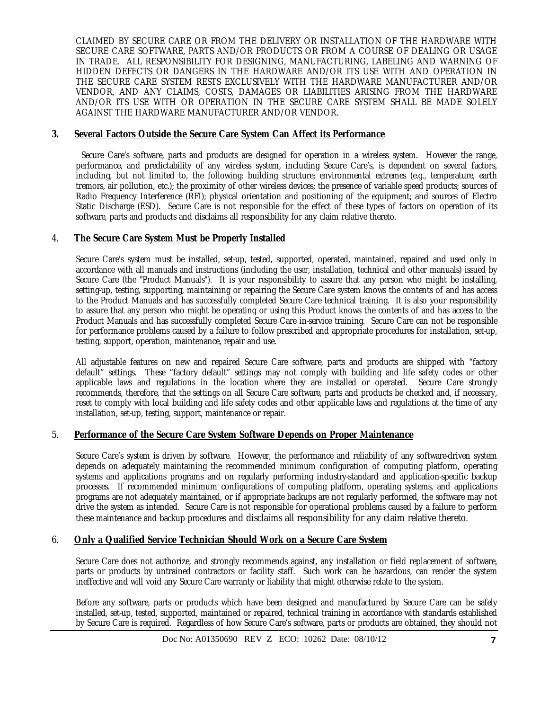CLAIMED BY SECURE CARE OR FROM THE DELIVERY OR INSTALLATION OF THE HARDWARE WITH SECURE CARE SOFTWARE, PARTS AND/OR PRODUCTS OR FROM A COURSE OF DEALING OR USAGE IN TRADE. ALL RESPONSIBILITY FOR DESIGNING, MANUFACTURING, LABELING AND WARNING OF HIDDEN DEFECTS OR DANGERS IN THE HARDWARE AND/OR ITS USE WITH AND OPERATION IN THE SECURE CARE SYSTEM RESTS EXCLUSIVELY WITH THE HARDWARE MANUFACTURER AND/OR VENDOR, AND ANY CLAIMS, COSTS, DAMAGES OR LIABILITIES ARISING FROM THE HARDWARE AND/OR ITS USE WITH OR OPERATION IN THE SECURE CARE SYSTEM SHALL BE MADE SOLELY AGAINST THE HARDWARE MANUFACTURER AND/OR VENDOR.

### **3. Several Factors Outside the Secure Care System Can Affect its Performance**

 Secure Care's software, parts and products are designed for operation in a wireless system. However the range, performance, and predictability of any wireless system, including Secure Care's, is dependent on several factors, including, but not limited to, the following: building structure; environmental extremes (e.g., temperature, earth tremors, air pollution, etc.); the proximity of other wireless devices; the presence of variable speed products; sources of Radio Frequency Interference (RFI); physical orientation and positioning of the equipment; and sources of Electro Static Discharge (ESD). Secure Care is not responsible for the effect of these types of factors on operation of its software, parts and products and disclaims all responsibility for any claim relative thereto.

### 4. **The Secure Care System Must be Properly Installed**

Secure Care's system must be installed, set-up, tested, supported, operated, maintained, repaired and used only in accordance with all manuals and instructions (including the user, installation, technical and other manuals) issued by Secure Care (the "Product Manuals"). It is your responsibility to assure that any person who might be installing, setting-up, testing, supporting, maintaining or repairing the Secure Care system knows the contents of and has access to the Product Manuals and has successfully completed Secure Care technical training. It is also your responsibility to assure that any person who might be operating or using this Product knows the contents of and has access to the Product Manuals and has successfully completed Secure Care in-service training. Secure Care can not be responsible for performance problems caused by a failure to follow prescribed and appropriate procedures for installation, set-up, testing, support, operation, maintenance, repair and use.

All adjustable features on new and repaired Secure Care software, parts and products are shipped with "factory default" settings. These "factory default" settings may not comply with building and life safety codes or other applicable laws and regulations in the location where they are installed or operated. Secure Care strongly recommends, therefore, that the settings on all Secure Care software, parts and products be checked and, if necessary, reset to comply with local building and life safety codes and other applicable laws and regulations at the time of any installation, set-up, testing, support, maintenance or repair.

### 5. **Performance of the Secure Care System Software Depends on Proper Maintenance**

Secure Care's system is driven by software. However, the performance and reliability of any software-driven system depends on adequately maintaining the recommended minimum configuration of computing platform, operating systems and applications programs and on regularly performing industry-standard and application-specific backup processes. If recommended minimum configurations of computing platform, operating systems, and applications programs are not adequately maintained, or if appropriate backups are not regularly performed, the software may not drive the system as intended. Secure Care is not responsible for operational problems caused by a failure to perform these maintenance and backup procedures and disclaims all responsibility for any claim relative thereto.

### 6. **Only a Qualified Service Technician Should Work on a Secure Care System**

Secure Care does not authorize, and strongly recommends against, any installation or field replacement of software, parts or products by untrained contractors or facility staff. Such work can be hazardous, can render the system ineffective and will void any Secure Care warranty or liability that might otherwise relate to the system.

Before any software, parts or products which have been designed and manufactured by Secure Care can be safely installed, set-up, tested, supported, maintained or repaired, technical training in accordance with standards established by Secure Care is required. Regardless of how Secure Care's software, parts or products are obtained, they should not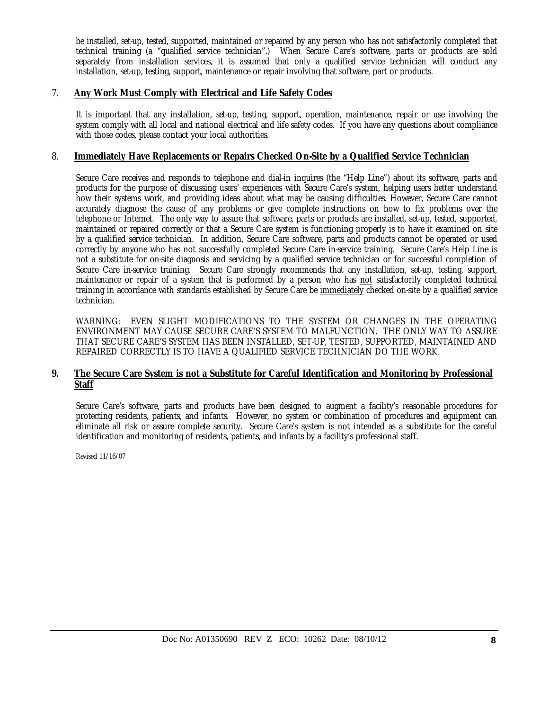be installed, set-up, tested, supported, maintained or repaired by any person who has not satisfactorily completed that technical training (a "qualified service technician".) When Secure Care's software, parts or products are sold separately from installation services, it is assumed that only a qualified service technician will conduct any installation, set-up, testing, support, maintenance or repair involving that software, part or products.

### 7. **Any Work Must Comply with Electrical and Life Safety Codes**

It is important that any installation, set-up, testing, support, operation, maintenance, repair or use involving the system comply with all local and national electrical and life safety codes. If you have any questions about compliance with those codes, please contact your local authorities.

### 8. **Immediately Have Replacements or Repairs Checked On-Site by a Qualified Service Technician**

Secure Care receives and responds to telephone and dial-in inquires (the "Help Line") about its software, parts and products for the purpose of discussing users' experiences with Secure Care's system, helping users better understand how their systems work, and providing ideas about what may be causing difficulties. However, Secure Care cannot accurately diagnose the cause of any problems or give complete instructions on how to fix problems over the telephone or Internet. The only way to assure that software, parts or products are installed, set-up, tested, supported, maintained or repaired correctly or that a Secure Care system is functioning properly is to have it examined on site by a qualified service technician. In addition, Secure Care software, parts and products cannot be operated or used correctly by anyone who has not successfully completed Secure Care in-service training. Secure Care's Help Line is not a substitute for on-site diagnosis and servicing by a qualified service technician or for successful completion of Secure Care in-service training. Secure Care strongly recommends that any installation, set-up, testing, support, maintenance or repair of a system that is performed by a person who has not satisfactorily completed technical training in accordance with standards established by Secure Care be immediately checked on-site by a qualified service technician.

WARNING: EVEN SLIGHT MODIFICATIONS TO THE SYSTEM OR CHANGES IN THE OPERATING ENVIRONMENT MAY CAUSE SECURE CARE'S SYSTEM TO MALFUNCTION. THE ONLY WAY TO ASSURE THAT SECURE CARE'S SYSTEM HAS BEEN INSTALLED, SET-UP, TESTED, SUPPORTED, MAINTAINED AND REPAIRED CORRECTLY IS TO HAVE A QUALIFIED SERVICE TECHNICIAN DO THE WORK.

### **9. The Secure Care System is not a Substitute for Careful Identification and Monitoring by Professional Staff**

Secure Care's software, parts and products have been designed to augment a facility's reasonable procedures for protecting residents, patients, and infants. However, no system or combination of procedures and equipment can eliminate all risk or assure complete security. Secure Care's system is not intended as a substitute for the careful identification and monitoring of residents, patients, and infants by a facility's professional staff.

Revised 11/16/07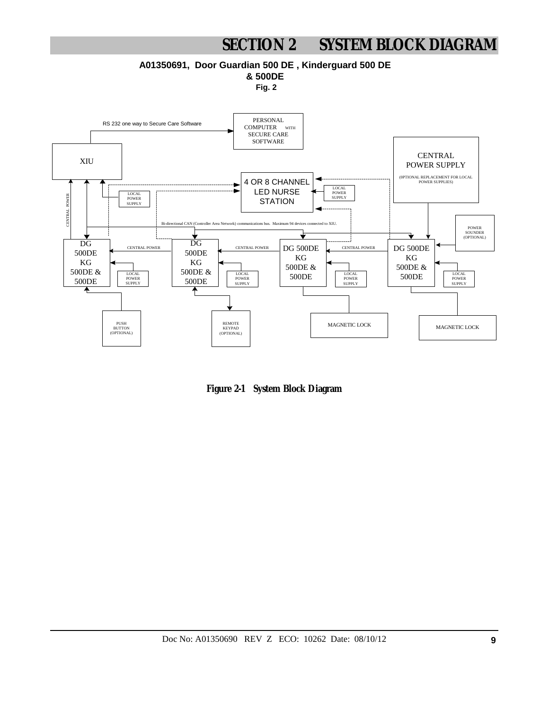# **SECTION 2 SYSTEM BLOCK DIAGRAM**

**A01350691, Door Guardian 500 DE , Kinderguard 500 DE**

**& 500DE**

**Fig. 2**



**Figure 2-1 System Block Diagram**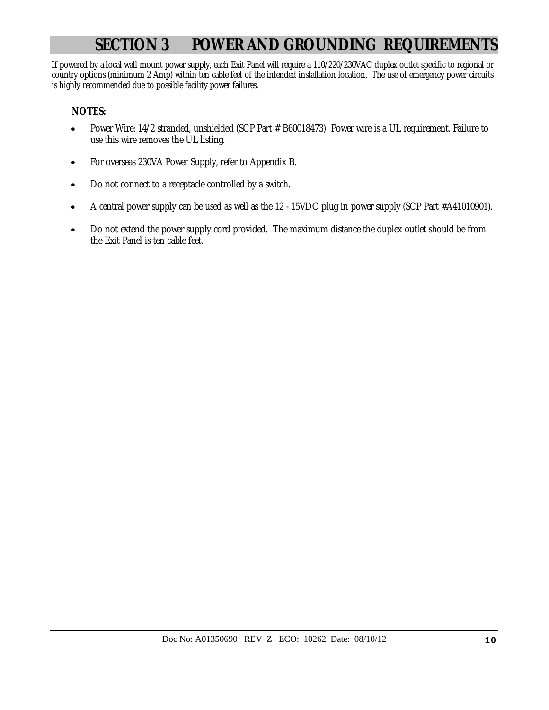# **SECTION 3 POWER AND GROUNDING REQUIREMENTS**

If powered by a local wall mount power supply, each Exit Panel will require a 110/220/230VAC duplex outlet specific to regional or country options (minimum 2 Amp) within ten cable feet of the intended installation location. The use of emergency power circuits is highly recommended due to possible facility power failures.

### **NOTES:**

- Power Wire: 14/2 stranded, unshielded (SCP Part # B60018473) Power wire is a UL requirement. Failure to use this wire removes the UL listing.
- For overseas 230VA Power Supply, refer to Appendix B.
- Do not connect to a receptacle controlled by a switch.
- A central power supply can be used as well as the 12 15VDC plug in power supply (SCP Part #A41010901).
- Do not extend the power supply cord provided. The maximum distance the duplex outlet should be from the Exit Panel is ten cable feet.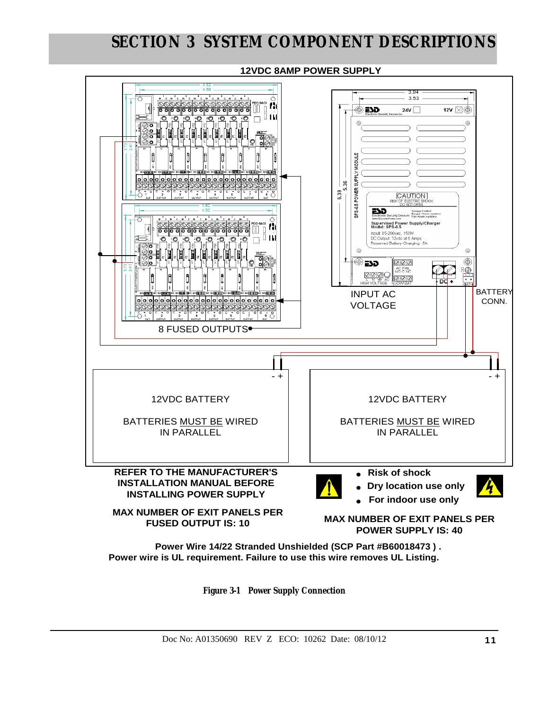

**Figure 3-1 Power Supply Connection**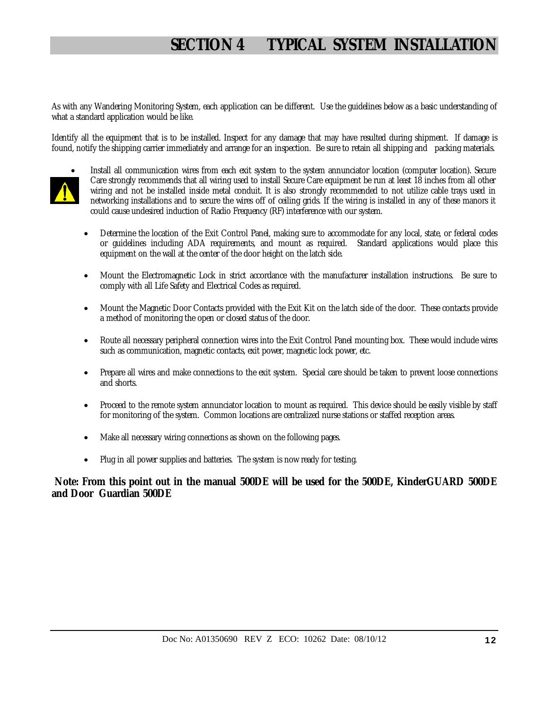# **SECTION 4 TYPICAL SYSTEM INSTALLATION**

As with any Wandering Monitoring System, each application can be different. Use the guidelines below as a basic understanding of what a standard application would be like.

Identify all the equipment that is to be installed. Inspect for any damage that may have resulted during shipment. If damage is found, notify the shipping carrier immediately and arrange for an inspection. Be sure to retain all shipping and packing materials.



- Install all communication wires from each exit system to the system annunciator location (computer location). Secure Care strongly recommends that all wiring used to install Secure Care equipment be run at least 18 inches from all other wiring and not be installed inside metal conduit. It is also strongly recommended to not utilize cable trays used in networking installations and to secure the wires off of ceiling grids. If the wiring is installed in any of these manors it could cause undesired induction of Radio Frequency (RF) interference with our system.
- Determine the location of the Exit Control Panel, making sure to accommodate for any local, state, or federal codes or guidelines including ADA requirements, and mount as required. Standard applications would place this equipment on the wall at the center of the door height on the latch side.
- Mount the Electromagnetic Lock in strict accordance with the manufacturer installation instructions. Be sure to comply with all Life Safety and Electrical Codes as required.
- Mount the Magnetic Door Contacts provided with the Exit Kit on the latch side of the door. These contacts provide a method of monitoring the open or closed status of the door.
- Route all necessary peripheral connection wires into the Exit Control Panel mounting box. These would include wires such as communication, magnetic contacts, exit power, magnetic lock power, etc.
- Prepare all wires and make connections to the exit system. Special care should be taken to prevent loose connections and shorts.
- Proceed to the remote system annunciator location to mount as required. This device should be easily visible by staff for monitoring of the system. Common locations are centralized nurse stations or staffed reception areas.
- Make all necessary wiring connections as shown on the following pages.
- Plug in all power supplies and batteries. The system is now ready for testing.

### **Note: From this point out in the manual 500DE will be used for the 500DE, KinderGUARD 500DE and Door Guardian 500DE**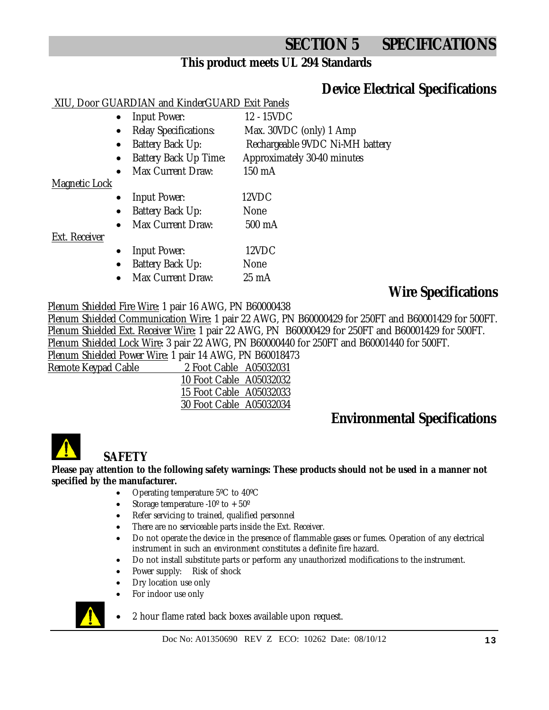# **SECTION 5 SPECIFICATIONS**

### **This product meets UL 294 Standards**

# **Device Electrical Specifications**

### XIU, Door GUARDIAN and KinderGUARD Exit Panels

- Input Power: 12 15VDC
- Relay Specifications: Max. 30VDC (only) 1 Amp
	- Battery Back Up: Rechargeable 9VDC Ni-MH battery
	- Battery Back Up Time: Approximately 30-40 minutes
- Max Current Draw: 150 mA

### Magnetic Lock

- Input Power: 12VDC
- Battery Back Up: None
- Max Current Draw: 500 mA

### Ext. Receiver

- Input Power: 12VDC
- Battery Back Up: None
- Max Current Draw: 25 mA

# **Wire Specifications**

### Plenum Shielded Fire Wire: 1 pair 16 AWG, PN B60000438

Plenum Shielded Communication Wire: 1 pair 22 AWG, PN B60000429 for 250FT and B60001429 for 500FT. Plenum Shielded Ext. Receiver Wire: 1 pair 22 AWG, PN B60000429 for 250FT and B60001429 for 500FT. Plenum Shielded Lock Wire: 3 pair 22 AWG, PN B60000440 for 250FT and B60001440 for 500FT. Plenum Shielded Power Wire: 1 pair 14 AWG, PN B60018473

Remote Keypad Cable

| 2 Foot Cable A05032031  |
|-------------------------|
| 10 Foot Cable A05032032 |
| 15 Foot Cable A05032033 |
| 30 Foot Cable A05032034 |
|                         |

# **Environmental Specifications**



# **SAFETY**

### **Please pay attention to the following safety warnings: These products should not be used in a manner not specified by the manufacturer.**

- Operating temperature 5ºC to 40ºC
- Storage temperature  $-10^{\circ}$  to  $+50^{\circ}$
- Refer servicing to trained, qualified personnel
- There are no serviceable parts inside the Ext. Receiver.
- Do not operate the device in the presence of flammable gases or fumes. Operation of any electrical instrument in such an environment constitutes a definite fire hazard.
- Do not install substitute parts or perform any unauthorized modifications to the instrument.
- Power supply: Risk of shock
- Dry location use only
- For indoor use only



2 hour flame rated back boxes available upon request.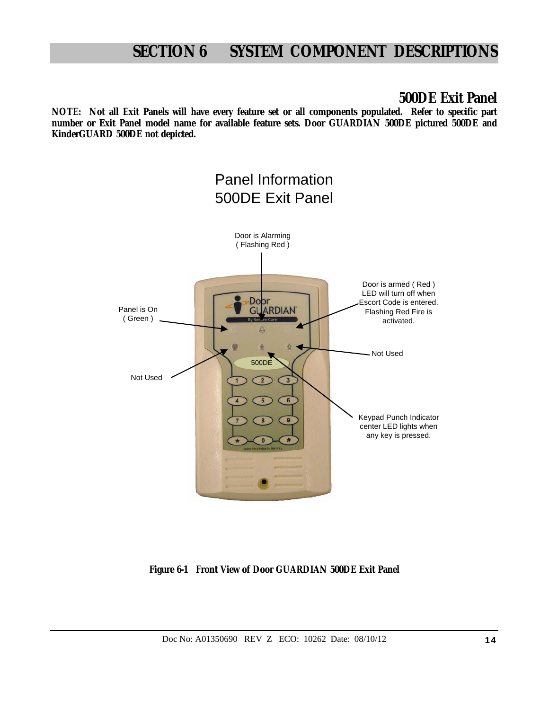### **500DE Exit Panel**

**NOTE: Not all Exit Panels will have every feature set or all components populated. Refer to specific part number or Exit Panel model name for available feature sets. Door GUARDIAN 500DE pictured 500DE and KinderGUARD 500DE not depicted.**



**Figure 6-1 Front View of Door GUARDIAN 500DE Exit Panel**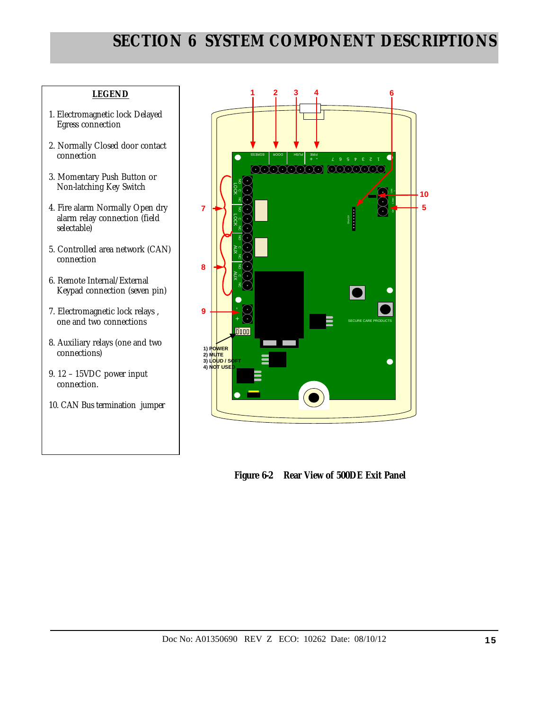### **LEGEND**

- 1. Electromagnetic lock Delayed Egress connection
- 2. Normally Closed door contact connection
- 3. Momentary Push Button or Non-latching Key Switch
- 4. Fire alarm Normally Open dry alarm relay connection (field selectable)
- 5. Controlled area network (CAN) connection
- 6. Remote Internal/External Keypad connection (seven pin)
- 7. Electromagnetic lock relays , one and two connections
- 8. Auxiliary relays (one and two connections)
- 9. 12 15VDC power input connection.
- 10. CAN Bus termination jumper



 **Figure 6-2 Rear View of 500DE Exit Panel**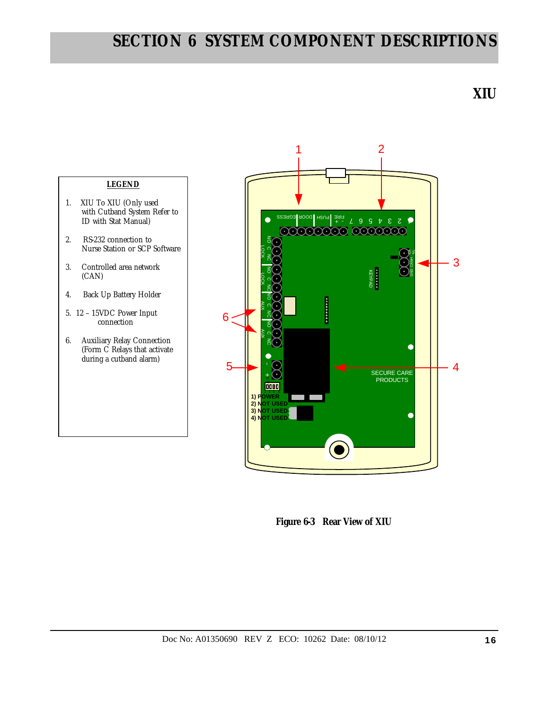**XIU** 



- 1. XIU To XIU (Only used with Cutband System Refer to ID with Stat Manual)
- 2. RS-232 connection to Nurse Station or SCP Software
- 3. Controlled area network (CAN)
- 4. Back Up Battery Holder
- 5. 12 15VDC Power Input connection
- 6. Auxiliary Relay Connection (Form C Relays that activate during a cutband alarm)



 **Figure 6-3 Rear View of XIU**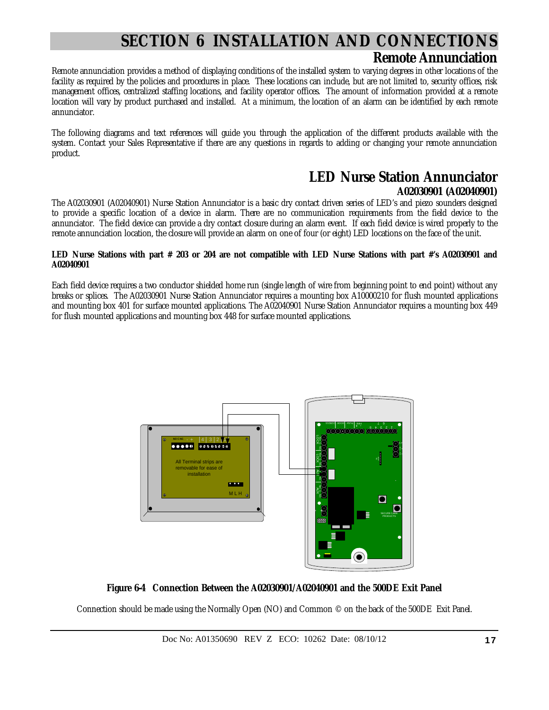### **Remote Annunciation**

Remote annunciation provides a method of displaying conditions of the installed system to varying degrees in other locations of the facility as required by the policies and procedures in place. These locations can include, but are not limited to, security offices, risk management offices, centralized staffing locations, and facility operator offices. The amount of information provided at a remote location will vary by product purchased and installed. At a minimum, the location of an alarm can be identified by each remote annunciator.

The following diagrams and text references will guide you through the application of the different products available with the system. Contact your Sales Representative if there are any questions in regards to adding or changing your remote annunciation product.

### **LED Nurse Station Annunciator A02030901 (A02040901)**

The A02030901 (A02040901) Nurse Station Annunciator is a basic dry contact driven series of LED's and piezo sounders designed to provide a specific location of a device in alarm. There are no communication requirements from the field device to the annunciator. The field device can provide a dry contact closure during an alarm event. If each field device is wired properly to the remote annunciation location, the closure will provide an alarm on one of four (or eight) LED locations on the face of the unit.

#### **LED Nurse Stations with part # 203 or 204 are not compatible with LED Nurse Stations with part #'s A02030901 and A02040901**

Each field device requires a two conductor shielded home run (single length of wire from beginning point to end point) without any breaks or splices. The A02030901 Nurse Station Annunciator requires a mounting box A10000210 for flush mounted applications and mounting box 401 for surface mounted applications. The A02040901 Nurse Station Annunciator requires a mounting box 449 for flush mounted applications and mounting box 448 for surface mounted applications.



### **Figure 6-4 Connection Between the A02030901/A02040901 and the 500DE Exit Panel**

Connection should be made using the Normally Open (NO) and Common © on the back of the 500DE Exit Panel.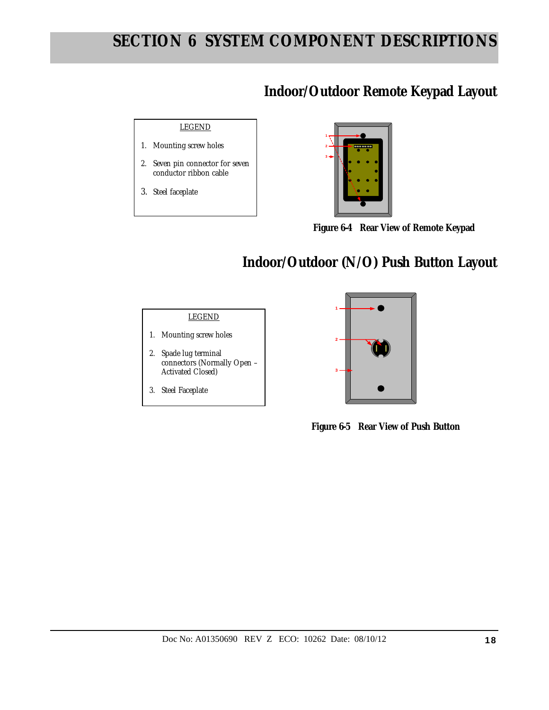### **Indoor/Outdoor Remote Keypad Layout**





 **Figure 6-4 Rear View of Remote Keypad** 

# **Indoor/Outdoor (N/O) Push Button Layout**

### LEGEND

- 1. Mounting screw holes
- 2. Spade lug terminal connectors (Normally Open – Activated Closed)
- 3. Steel Faceplate



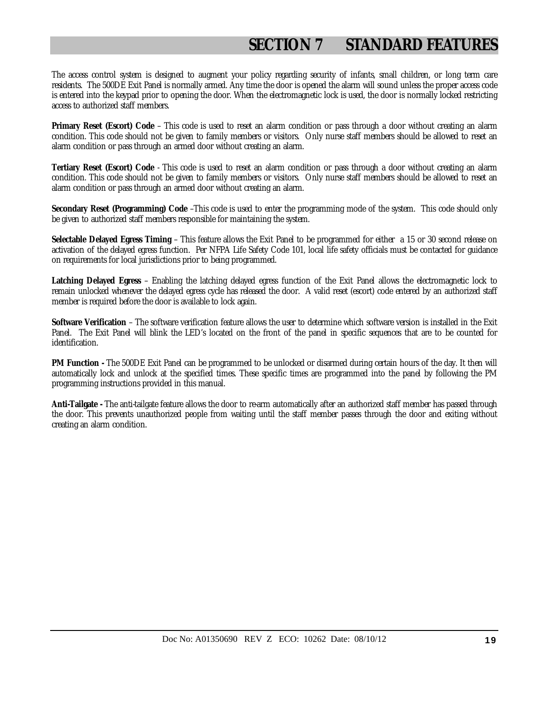# **SECTION 7 STANDARD FEATURES**

The access control system is designed to augment your policy regarding security of infants, small children, or long term care residents. The 500DE Exit Panel is normally armed. Any time the door is opened the alarm will sound unless the proper access code is entered into the keypad prior to opening the door. When the electromagnetic lock is used, the door is normally locked restricting access to authorized staff members.

**Primary Reset (Escort) Code** – This code is used to reset an alarm condition or pass through a door without creating an alarm condition. This code should not be given to family members or visitors. Only nurse staff members should be allowed to reset an alarm condition or pass through an armed door without creating an alarm.

**Tertiary Reset (Escort) Code** - This code is used to reset an alarm condition or pass through a door without creating an alarm condition. This code should not be given to family members or visitors. Only nurse staff members should be allowed to reset an alarm condition or pass through an armed door without creating an alarm.

**Secondary Reset (Programming) Code** –This code is used to enter the programming mode of the system. This code should only be given to authorized staff members responsible for maintaining the system.

**Selectable Delayed Egress Timing** – This feature allows the Exit Panel to be programmed for either a 15 or 30 second release on activation of the delayed egress function. Per NFPA Life Safety Code 101, local life safety officials must be contacted for guidance on requirements for local jurisdictions prior to being programmed.

**Latching Delayed Egress** – Enabling the latching delayed egress function of the Exit Panel allows the electromagnetic lock to remain unlocked whenever the delayed egress cycle has released the door. A valid reset (escort) code entered by an authorized staff member is required before the door is available to lock again.

**Software Verification** – The software verification feature allows the user to determine which software version is installed in the Exit Panel. The Exit Panel will blink the LED's located on the front of the panel in specific sequences that are to be counted for identification.

**PM Function -** The 500DE Exit Panel can be programmed to be unlocked or disarmed during certain hours of the day. It then will automatically lock and unlock at the specified times. These specific times are programmed into the panel by following the PM programming instructions provided in this manual.

**Anti-Tailgate -** The anti-tailgate feature allows the door to re-arm automatically after an authorized staff member has passed through the door. This prevents unauthorized people from waiting until the staff member passes through the door and exiting without creating an alarm condition.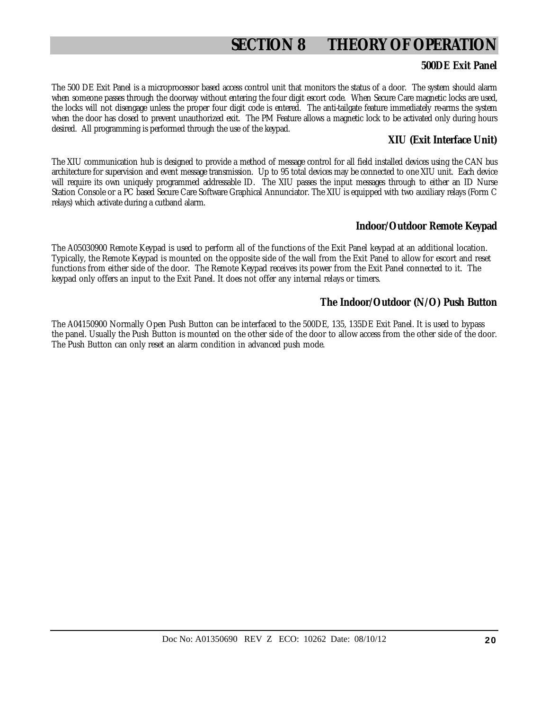# **SECTION 8 THEORY OF OPERATION**

### **500DE Exit Panel**

The 500 DE Exit Panel is a microprocessor based access control unit that monitors the status of a door. The system should alarm when someone passes through the doorway without entering the four digit escort code. When Secure Care magnetic locks are used, the locks will not disengage unless the proper four digit code is entered. The anti-tailgate feature immediately re-arms the system when the door has closed to prevent unauthorized exit. The PM Feature allows a magnetic lock to be activated only during hours desired. All programming is performed through the use of the keypad.

### **XIU (Exit Interface Unit)**

The XIU communication hub is designed to provide a method of message control for all field installed devices using the CAN bus architecture for supervision and event message transmission. Up to 95 total devices may be connected to one XIU unit. Each device will require its own uniquely programmed addressable ID. The XIU passes the input messages through to either an ID Nurse Station Console or a PC based Secure Care Software Graphical Annunciator. The XIU is equipped with two auxiliary relays (Form C relays) which activate during a cutband alarm.

### **Indoor/Outdoor Remote Keypad**

The A05030900 Remote Keypad is used to perform all of the functions of the Exit Panel keypad at an additional location. Typically, the Remote Keypad is mounted on the opposite side of the wall from the Exit Panel to allow for escort and reset functions from either side of the door. The Remote Keypad receives its power from the Exit Panel connected to it. The keypad only offers an input to the Exit Panel. It does not offer any internal relays or timers.

### **The Indoor/Outdoor (N/O) Push Button**

The A04150900 Normally Open Push Button can be interfaced to the 500DE, 135, 135DE Exit Panel. It is used to bypass the panel. Usually the Push Button is mounted on the other side of the door to allow access from the other side of the door. The Push Button can only reset an alarm condition in advanced push mode.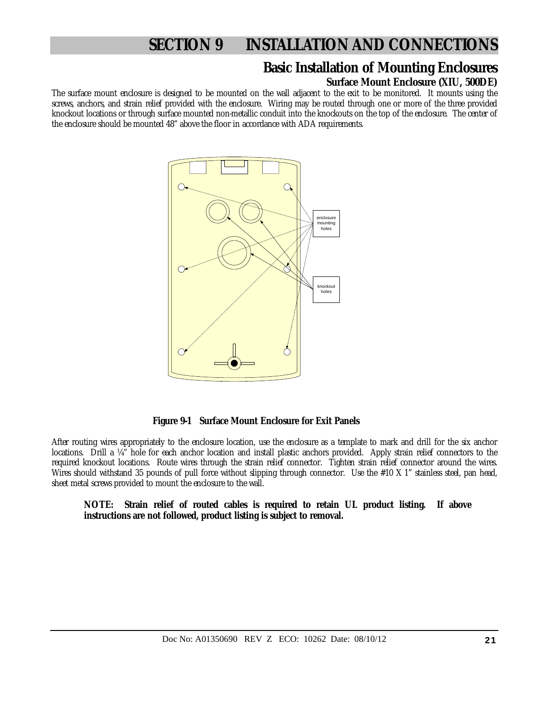### **Basic Installation of Mounting Enclosures**

### **Surface Mount Enclosure (XIU, 500DE)**

The surface mount enclosure is designed to be mounted on the wall adjacent to the exit to be monitored. It mounts using the screws, anchors, and strain relief provided with the enclosure. Wiring may be routed through one or more of the three provided knockout locations or through surface mounted non-metallic conduit into the knockouts on the top of the enclosure. The center of the enclosure should be mounted 48" above the floor in accordance with ADA requirements.



 **Figure 9-1 Surface Mount Enclosure for Exit Panels** 

After routing wires appropriately to the enclosure location, use the enclosure as a template to mark and drill for the six anchor locations. Drill a ¼" hole for each anchor location and install plastic anchors provided. Apply strain relief connectors to the required knockout locations. Route wires through the strain relief connector. Tighten strain relief connector around the wires. Wires should withstand 35 pounds of pull force without slipping through connector. Use the #10 X 1" stainless steel, pan head, sheet metal screws provided to mount the enclosure to the wall.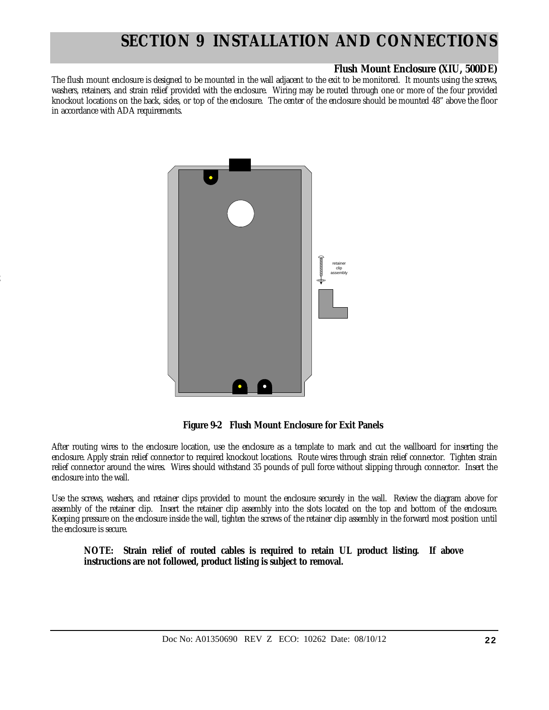### **Flush Mount Enclosure (XIU, 500DE)**

The flush mount enclosure is designed to be mounted in the wall adjacent to the exit to be monitored. It mounts using the screws, washers, retainers, and strain relief provided with the enclosure. Wiring may be routed through one or more of the four provided knockout locations on the back, sides, or top of the enclosure. The center of the enclosure should be mounted 48" above the floor in accordance with ADA requirements.



2

 **Figure 9-2 Flush Mount Enclosure for Exit Panels** 

After routing wires to the enclosure location, use the enclosure as a template to mark and cut the wallboard for inserting the enclosure. Apply strain relief connector to required knockout locations. Route wires through strain relief connector. Tighten strain relief connector around the wires. Wires should withstand 35 pounds of pull force without slipping through connector. Insert the enclosure into the wall.

Use the screws, washers, and retainer clips provided to mount the enclosure securely in the wall. Review the diagram above for assembly of the retainer clip. Insert the retainer clip assembly into the slots located on the top and bottom of the enclosure. Keeping pressure on the enclosure inside the wall, tighten the screws of the retainer clip assembly in the forward most position until the enclosure is secure.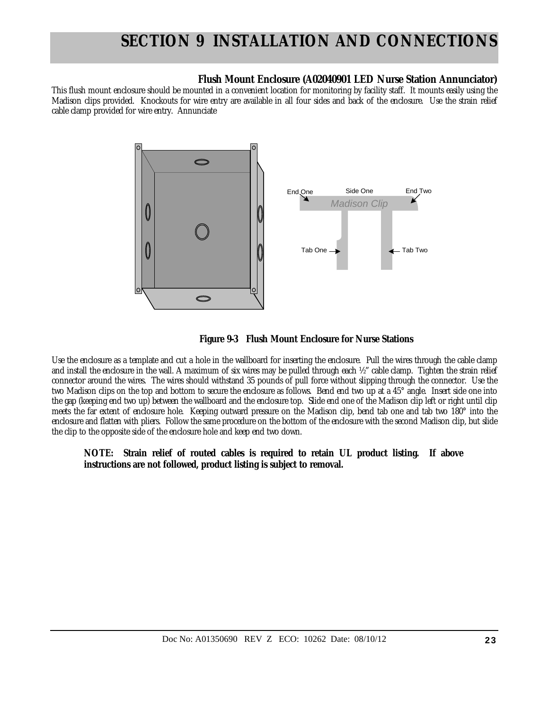### **Flush Mount Enclosure (A02040901 LED Nurse Station Annunciator)**

This flush mount enclosure should be mounted in a convenient location for monitoring by facility staff. It mounts easily using the Madison clips provided. Knockouts for wire entry are available in all four sides and back of the enclosure. Use the strain relief cable clamp provided for wire entry. Annunciate





Use the enclosure as a template and cut a hole in the wallboard for inserting the enclosure. Pull the wires through the cable clamp and install the enclosure in the wall. A maximum of six wires may be pulled through each ½" cable clamp. Tighten the strain relief connector around the wires. The wires should withstand 35 pounds of pull force without slipping through the connector. Use the two Madison clips on the top and bottom to secure the enclosure as follows. Bend end two up at a 45° angle. Insert side one into the gap (keeping end two up) between the wallboard and the enclosure top. Slide end one of the Madison clip left or right until clip meets the far extent of enclosure hole. Keeping outward pressure on the Madison clip, bend tab one and tab two 180° into the enclosure and flatten with pliers. Follow the same procedure on the bottom of the enclosure with the second Madison clip, but slide the clip to the opposite side of the enclosure hole and keep end two down.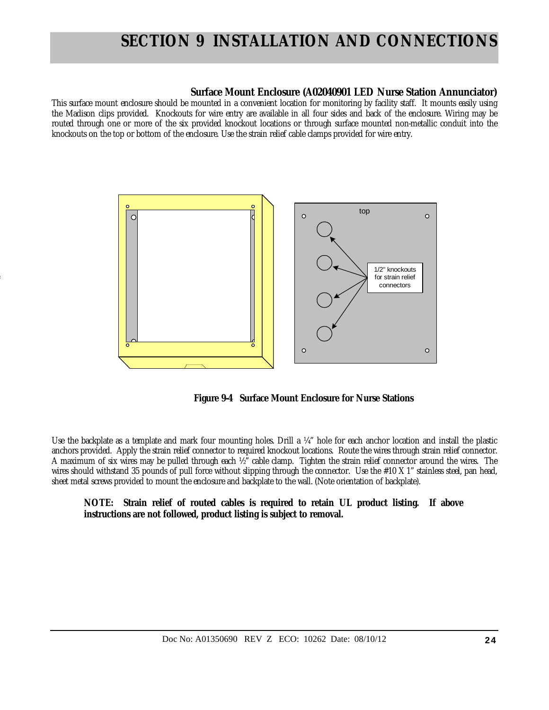### **Surface Mount Enclosure (A02040901 LED Nurse Station Annunciator)**

This surface mount enclosure should be mounted in a convenient location for monitoring by facility staff. It mounts easily using the Madison clips provided. Knockouts for wire entry are available in all four sides and back of the enclosure. Wiring may be routed through one or more of the six provided knockout locations or through surface mounted non-metallic conduit into the knockouts on the top or bottom of the enclosure. Use the strain relief cable clamps provided for wire entry.



4

 **Figure 9-4 Surface Mount Enclosure for Nurse Stations** 

Use the backplate as a template and mark four mounting holes. Drill a ¼" hole for each anchor location and install the plastic anchors provided. Apply the strain relief connector to required knockout locations. Route the wires through strain relief connector. A maximum of six wires may be pulled through each ½" cable clamp. Tighten the strain relief connector around the wires. The wires should withstand 35 pounds of pull force without slipping through the connector. Use the #10 X 1" stainless steel, pan head, sheet metal screws provided to mount the enclosure and backplate to the wall. (Note orientation of backplate).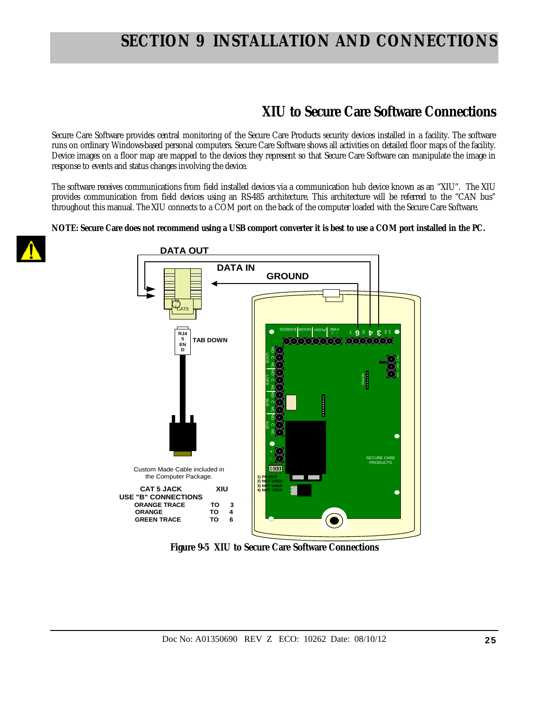### **XIU to Secure Care Software Connections**

Secure Care Software provides central monitoring of the Secure Care Products security devices installed in a facility. The software runs on ordinary Windows-based personal computers. Secure Care Software shows all activities on detailed floor maps of the facility. Device images on a floor map are mapped to the devices they represent so that Secure Care Software can manipulate the image in response to events and status changes involving the device.

The software receives communications from field installed devices via a communication hub device known as an "XIU". The XIU provides communication from field devices using an RS-485 architecture. This architecture will be referred to the "CAN bus" throughout this manual. The XIU connects to a COM port on the back of the computer loaded with the Secure Care Software.

**NOTE: Secure Care does not recommend using a USB comport converter it is best to use a COM port installed in the PC.** 





**Figure 9-5 XIU to Secure Care Software Connections**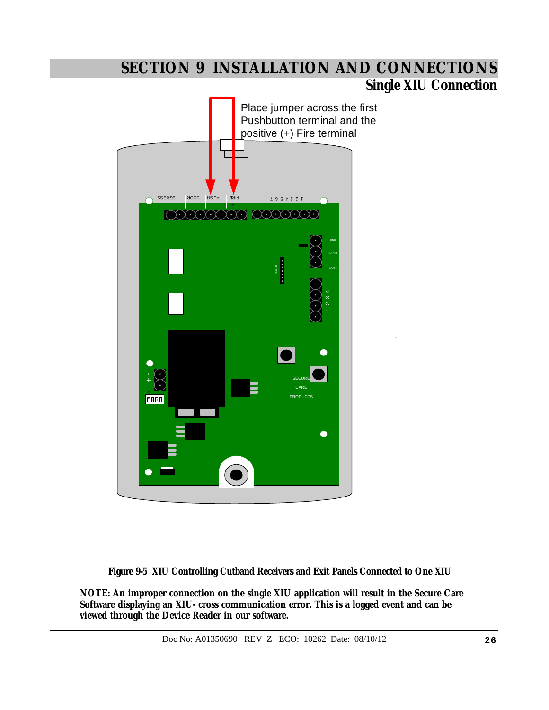### **Single XIU Connection**



 **Figure 9-5 XIU Controlling Cutband Receivers and Exit Panels Connected to One XIU** 

**NOTE: An improper connection on the single XIU application will result in the Secure Care Software displaying an XIU- cross communication error. This is a logged event and can be viewed through the Device Reader in our software.**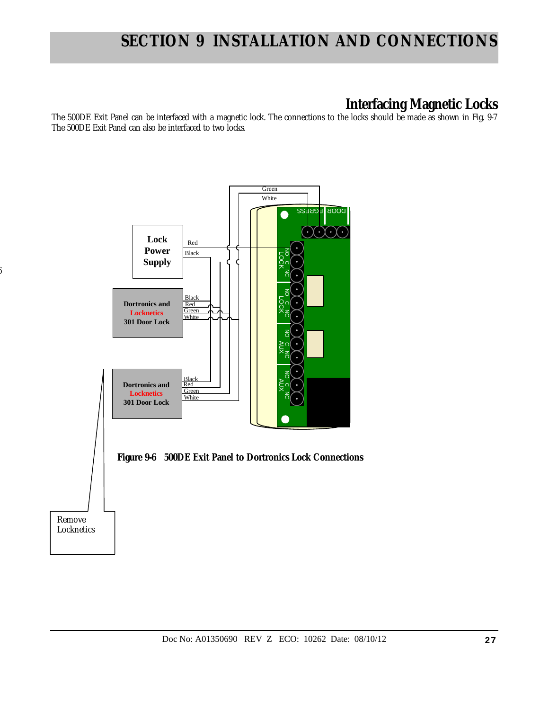### **Interfacing Magnetic Locks**

The 500DE Exit Panel can be interfaced with a magnetic lock. The connections to the locks should be made as shown in Fig. 9-7 The 500DE Exit Panel can also be interfaced to two locks.



6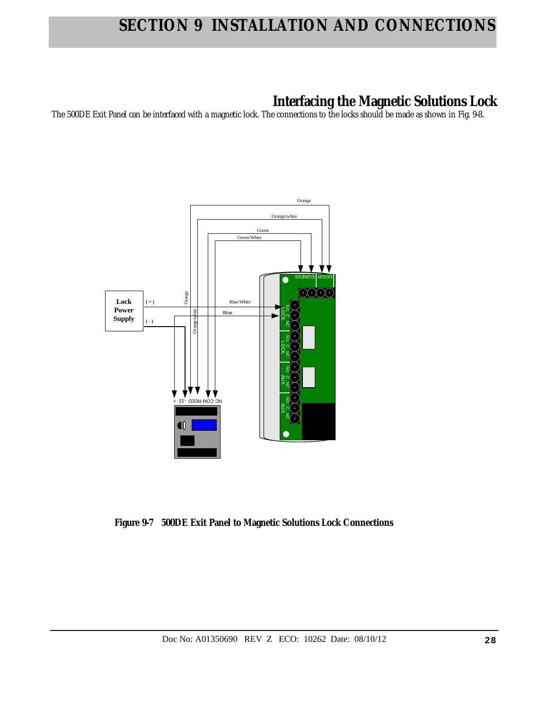## **Interfacing the Magnetic Solutions Lock**

The 500DE Exit Panel can be interfaced with a magnetic lock. The connections to the locks should be made as shown in Fig. 9-8.



 **Figure 9-7 500DE Exit Panel to Magnetic Solutions Lock Connections**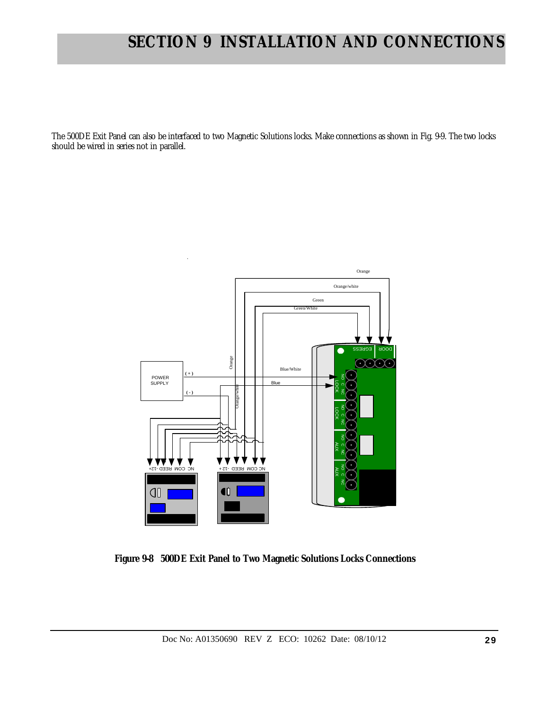The 500DE Exit Panel can also be interfaced to two Magnetic Solutions locks. Make connections as shown in Fig. 9-9. The two locks should be wired in series not in parallel.



 **Figure 9-8 500DE Exit Panel to Two Magnetic Solutions Locks Connections**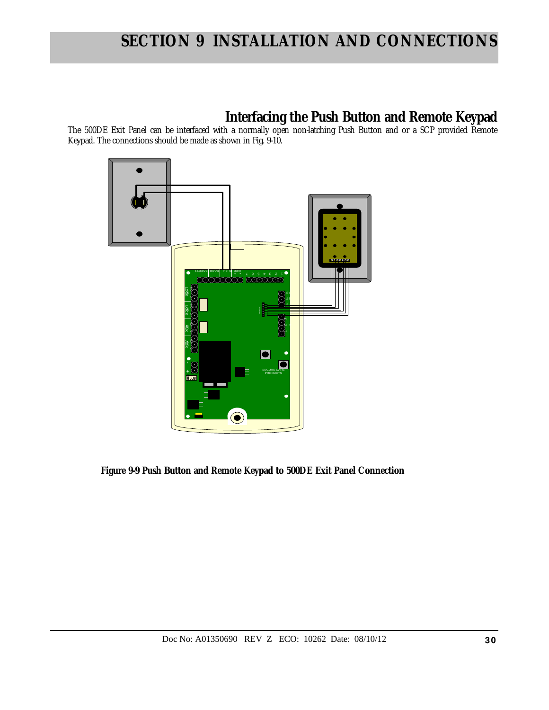### **Interfacing the Push Button and Remote Keypad**

The 500DE Exit Panel can be interfaced with a normally open non-latching Push Button and or a SCP provided Remote Keypad. The connections should be made as shown in Fig. 9-10.



 **Figure 9-9 Push Button and Remote Keypad to 500DE Exit Panel Connection**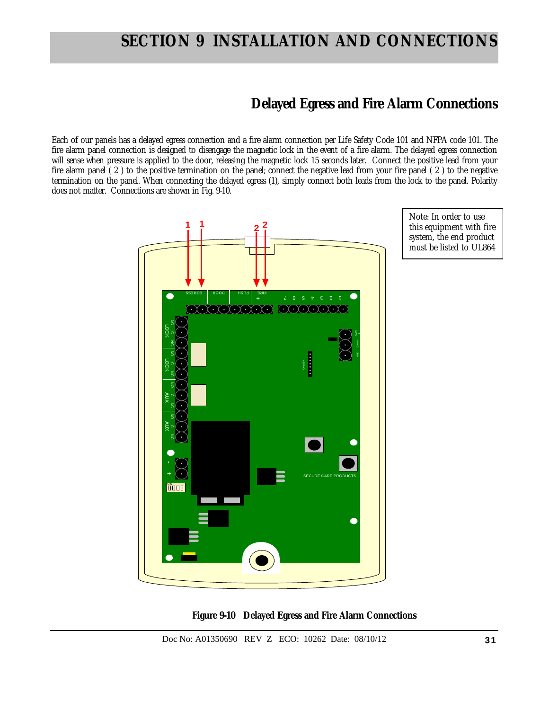### **Delayed Egress and Fire Alarm Connections**

Each of our panels has a delayed egress connection and a fire alarm connection per Life Safety Code 101 and NFPA code 101. The fire alarm panel connection is designed to disengage the magnetic lock in the event of a fire alarm. The delayed egress connection will sense when pressure is applied to the door, releasing the magnetic lock 15 seconds later. Connect the positive lead from your fire alarm panel ( 2 ) to the positive termination on the panel; connect the negative lead from your fire panel ( 2 ) to the negative termination on the panel. When connecting the delayed egress (1), simply connect both leads from the lock to the panel. Polarity does not matter. Connections are shown in Fig. 9-10.





 **Figure 9-10 Delayed Egress and Fire Alarm Connections**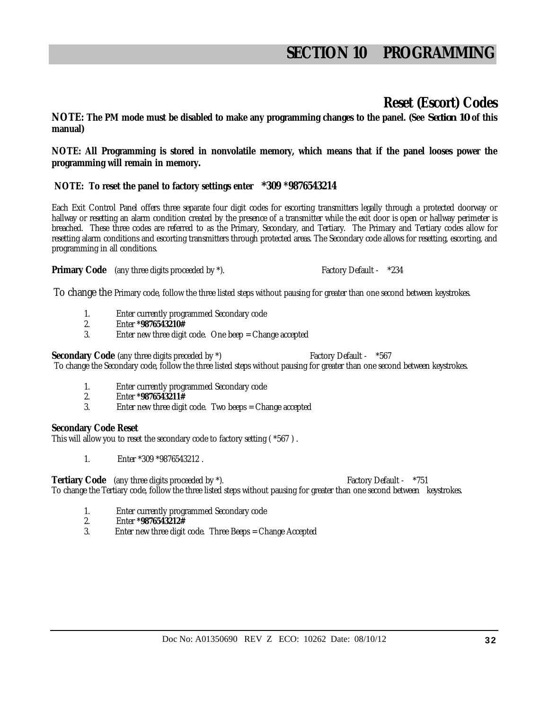### **Reset (Escort) Codes**

**NOTE: The PM mode must be disabled to make any programming changes to the panel. (See** *Section 10* **of this manual)** 

**NOTE: All Programming is stored in nonvolatile memory, which means that if the panel looses power the programming will remain in memory.** 

### **NOTE: To reset the panel to factory settings enter** *\****309 \*9876543214**

Each Exit Control Panel offers three separate four digit codes for escorting transmitters legally through a protected doorway or hallway or resetting an alarm condition created by the presence of a transmitter while the exit door is open or hallway perimeter is breached. These three codes are referred to as the Primary, Secondary, and Tertiary. The Primary and Tertiary codes allow for resetting alarm conditions and escorting transmitters through protected areas. The Secondary code allows for resetting, escorting, and programming in all conditions.

**Primary Code** (any three digits proceeded by  $*\lambda$ ). Factory Default -  $*234$ 

To change the Primary code, follow the three listed steps without pausing for greater than one second between keystrokes.

- 1. Enter currently programmed Secondary code
- 2. Enter **\*9876543210#**
- 3. Enter new three digit code. One beep = Change accepted

**Secondary Code** (any three digits preceded by  $*$ ) Factory Default -  $*567$ 

To change the Secondary code, follow the three listed steps without pausing for greater than one second between keystrokes.

- 1. Enter currently programmed Secondary code
- 2. Enter **\*9876543211#**
- Enter new three digit code. Two beeps = Change accepted

### **Secondary Code Reset**

This will allow you to reset the secondary code to factory setting ( \*567 ) .

1. Enter \*309 \*9876543212 .

**Tertiary Code** (any three digits proceeded by \*). The state of the state of the state of the state of the state of the state of the state of the state of the state of the state of the state of the state of the state of th

To change the Tertiary code, follow the three listed steps without pausing for greater than one second between keystrokes.

- 1. Enter currently programmed Secondary code
- 2. Enter **\*9876543212#**
- 3. Enter new three digit code. Three Beeps = Change Accepted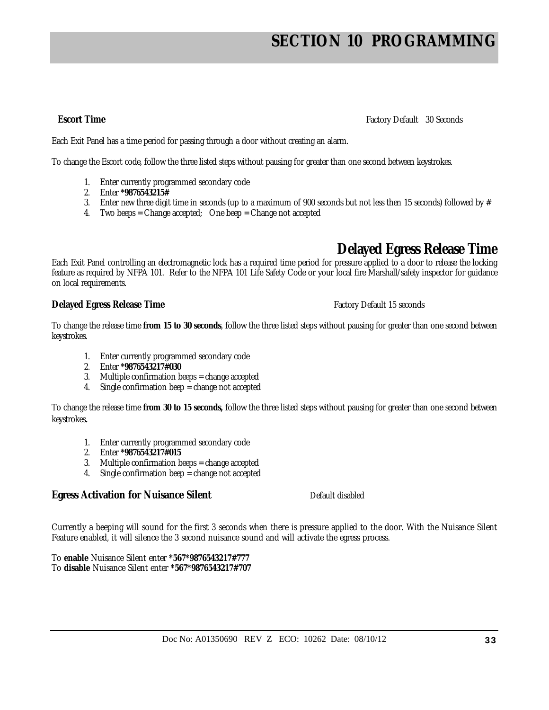**Escort Time** Factory Default 30 Seconds

Each Exit Panel has a time period for passing through a door without creating an alarm.

To change the Escort code, follow the three listed steps without pausing for greater than one second between keystrokes.

- 1. Enter currently programmed secondary code
- 2. Enter **\*9876543215#**
- 3. Enter new three digit time in seconds (up to a maximum of 900 seconds but not less then 15 seconds) followed by  $#$
- 4. Two beeps = Change accepted; One beep = Change not accepted

### **Delayed Egress Release Time**

Each Exit Panel controlling an electromagnetic lock has a required time period for pressure applied to a door to release the locking feature as required by NFPA 101. Refer to the NFPA 101 Life Safety Code or your local fire Marshall/safety inspector for guidance on local requirements.

### **Delayed Egress Release Time Factory Default 15 seconds**

To change the release time **from 15 to 30 seconds**, follow the three listed steps without pausing for greater than one second between keystrokes.

- 1. Enter currently programmed secondary code
- 2. Enter **\*9876543217#030**
- 3. Multiple confirmation beeps = change accepted
- 4. Single confirmation beep = change not accepted

To change the release time **from 30 to 15 seconds,** follow the three listed steps without pausing for greater than one second between keystrokes.

- 1. Enter currently programmed secondary code
- 2. Enter **\*9876543217#015**
- 3. Multiple confirmation beeps = change accepted
- 4. Single confirmation beep = change not accepted

### **Egress Activation for Nuisance Silent** Default disabled

Currently a beeping will sound for the first 3 seconds when there is pressure applied to the door. With the Nuisance Silent Feature enabled, it will silence the 3 second nuisance sound and will activate the egress process.

To **enable** Nuisance Silent enter **\*567\*9876543217#777** To **disable** Nuisance Silent enter **\*567\*9876543217#707**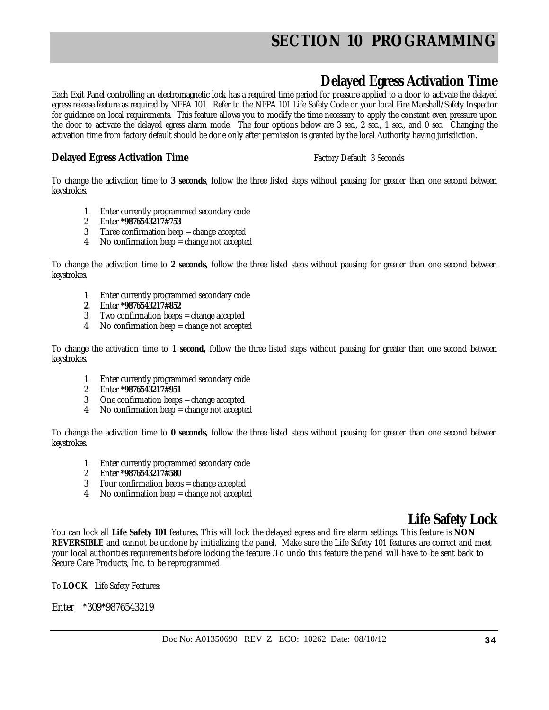### **Delayed Egress Activation Time**

Each Exit Panel controlling an electromagnetic lock has a required time period for pressure applied to a door to activate the delayed egress release feature as required by NFPA 101. Refer to the NFPA 101 Life Safety Code or your local Fire Marshall/Safety Inspector for guidance on local requirements. This feature allows you to modify the time necessary to apply the constant even pressure upon the door to activate the delayed egress alarm mode. The four options below are 3 sec., 2 sec., 1 sec., and 0 sec. Changing the activation time from factory default should be done only after permission is granted by the local Authority having jurisdiction.

### **Delayed Egress Activation Time** Factory Default 3 Seconds

To change the activation time to **3 seconds**, follow the three listed steps without pausing for greater than one second between keystrokes.

- 1. Enter currently programmed secondary code
- 2. Enter **\*9876543217#753**
- 3. Three confirmation beep = change accepted
- 4. No confirmation beep = change not accepted

To change the activation time to **2 seconds,** follow the three listed steps without pausing for greater than one second between keystrokes.

- 1. Enter currently programmed secondary code
- **2.** Enter **\*9876543217#852**
- 3. Two confirmation beeps = change accepted
- 4. No confirmation beep = change not accepted

To change the activation time to **1 second,** follow the three listed steps without pausing for greater than one second between keystrokes.

- 1. Enter currently programmed secondary code
- 2. Enter **\*9876543217#951**
- 3. One confirmation beeps = change accepted
- 4. No confirmation beep = change not accepted

To change the activation time to **0 seconds,** follow the three listed steps without pausing for greater than one second between keystrokes.

- 1. Enter currently programmed secondary code
- 2. Enter **\*9876543217#580**
- 3. Four confirmation beeps = change accepted
- 4. No confirmation beep = change not accepted

### **Life Safety Lock**

You can lock all **Life Safety 101** features. This will lock the delayed egress and fire alarm settings. This feature is **NON REVERSIBLE** and cannot be undone by initializing the panel. Make sure the Life Safety 101 features are correct and meet your local authorities requirements before locking the feature .To undo this feature the panel will have to be sent back to Secure Care Products, Inc. to be reprogrammed.

To **LOCK** Life Safety Features:

Enter \*309\*9876543219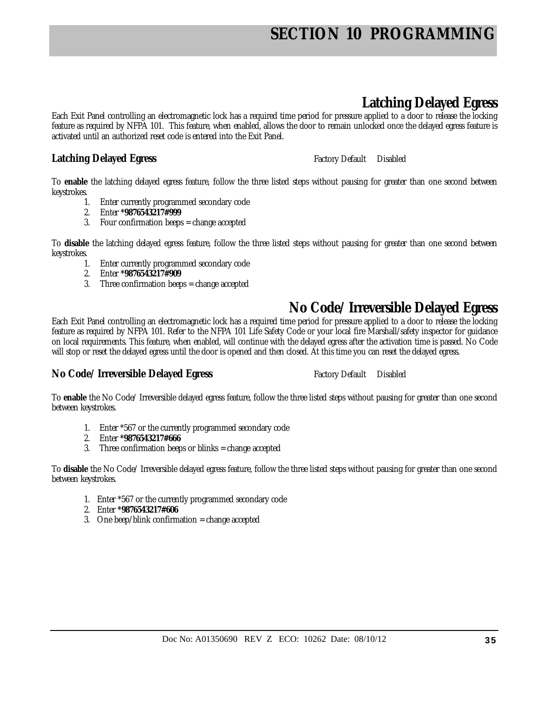## **Latching Delayed Egress**

Each Exit Panel controlling an electromagnetic lock has a required time period for pressure applied to a door to release the locking feature as required by NFPA 101. This feature, when enabled, allows the door to remain unlocked once the delayed egress feature is activated until an authorized reset code is entered into the Exit Panel.

### **Latching Delayed Egress Factory Default** Disabled

To **enable** the latching delayed egress feature, follow the three listed steps without pausing for greater than one second between keystrokes.

- 1. Enter currently programmed secondary code
- 2. Enter **\*9876543217#999**
- 3. Four confirmation beeps = change accepted

To **disable** the latching delayed egress feature, follow the three listed steps without pausing for greater than one second between keystrokes.

- 1. Enter currently programmed secondary code
- 2. Enter **\*9876543217#909**
- 3. Three confirmation beeps = change accepted

### **No Code/ Irreversible Delayed Egress**

Each Exit Panel controlling an electromagnetic lock has a required time period for pressure applied to a door to release the locking feature as required by NFPA 101. Refer to the NFPA 101 Life Safety Code or your local fire Marshall/safety inspector for guidance on local requirements. This feature, when enabled, will continue with the delayed egress after the activation time is passed. No Code will stop or reset the delayed egress until the door is opened and then closed. At this time you can reset the delayed egress.

### **No Code/ Irreversible Delayed Egress** Factory Default Disabled

To **enable** the No Code/ Irreversible delayed egress feature, follow the three listed steps without pausing for greater than one second between keystrokes.

- 1. Enter \*567 or the currently programmed secondary code
- 2. Enter **\*9876543217#666**
- 3. Three confirmation beeps or blinks = change accepted

To **disable** the No Code/ Irreversible delayed egress feature, follow the three listed steps without pausing for greater than one second between keystrokes.

- 1. Enter \*567 or the currently programmed secondary code
- 2. Enter **\*9876543217#606**
- 3. One beep/blink confirmation = change accepted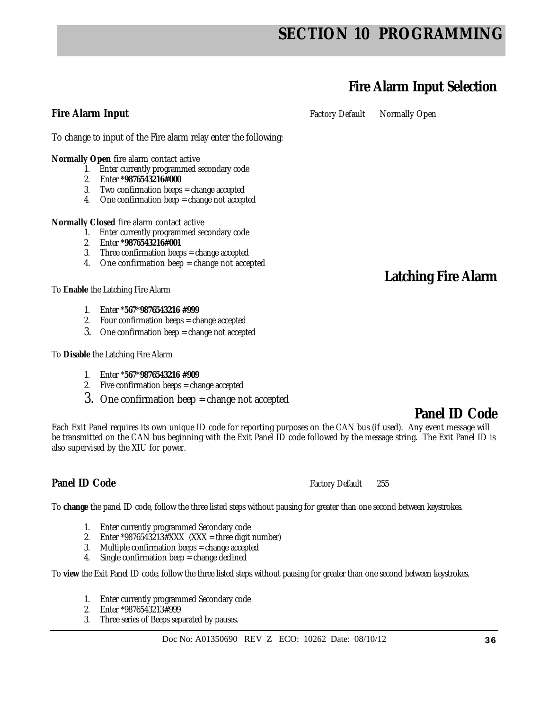## **Fire Alarm Input Selection**

**Fire Alarm Input Factory Default** Normally Open

To change to input of the Fire alarm relay enter the following:

**Normally Open** fire alarm contact active

- 1. Enter currently programmed secondary code
- 2. Enter **\*9876543216#000**
- 3. Two confirmation beeps = change accepted
- 4. One confirmation beep = change not accepted

**Normally Closed** fire alarm contact active

- 1. Enter currently programmed secondary code
- 2. Enter **\*9876543216#001**
- 3. Three confirmation beeps = change accepted
- 4. One confirmation beep = change not accepted

To **Enable** the Latching Fire Alarm

- 1. Enter \***567\*9876543216 #999**
- 2. Four confirmation beeps = change accepted
- 3. One confirmation beep = change not accepted

To **Disable** the Latching Fire Alarm

- 1. Enter \***567\*9876543216 #909**
- 2. Five confirmation beeps = change accepted
- 3. One confirmation beep = change not accepted

Each Exit Panel requires its own unique ID code for reporting purposes on the CAN bus (if used). Any event message will be transmitted on the CAN bus beginning with the Exit Panel ID code followed by the message string. The Exit Panel ID is also supervised by the XIU for power.

### **Panel ID Code Factory Default** 255

To **change** the panel ID code, follow the three listed steps without pausing for greater than one second between keystrokes.

- 1. Enter currently programmed Secondary code
- 2. Enter \*9876543213#XXX  $(XXX = three digit number)$
- 3. Multiple confirmation beeps = change accepted
- 4. Single confirmation beep = change declined

To **view** the Exit Panel ID code, follow the three listed steps without pausing for greater than one second between keystrokes.

- 1. Enter currently programmed Secondary code
- 2. Enter \*9876543213#999
- 3. Three series of Beeps separated by pauses.

### **Latching Fire Alarm**

### **Panel ID Code**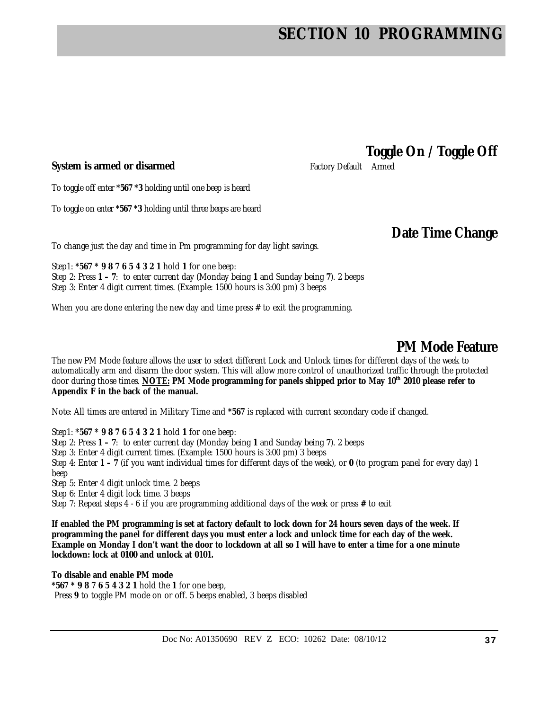### **System is armed or disarmed Factory Default Armed Factory Default Armed**

**Toggle On / Toggle Off** 

To toggle off enter **\*567 \*3** holding until one beep is heard

To toggle on enter **\*567 \*3** holding until three beeps are heard

### **Date Time Change**

To change just the day and time in Pm programming for day light savings.

Step1: **\*567 \* 9 8 7 6 5 4 3 2 1** hold **1** for one beep: Step 2: Press **1 – 7**: to enter current day (Monday being **1** and Sunday being **7**). 2 beeps Step 3: Enter 4 digit current times. (Example: 1500 hours is 3:00 pm) 3 beeps

When you are done entering the new day and time press  $#$  to exit the programming.

### **PM Mode Feature**

The new PM Mode feature allows the user to select different Lock and Unlock times for different days of the week to automatically arm and disarm the door system. This will allow more control of unauthorized traffic through the protected door during those times. **NOTE: PM Mode programming for panels shipped prior to May 10th 2010 please refer to Appendix F in the back of the manual.**

Note: All times are entered in Military Time and **\*567** is replaced with current secondary code if changed.

Step1: **\*567 \* 9 8 7 6 5 4 3 2 1** hold **1** for one beep:

Step 2: Press **1 – 7**: to enter current day (Monday being **1** and Sunday being **7**). 2 beeps

Step 3: Enter 4 digit current times. (Example: 1500 hours is 3:00 pm) 3 beeps

Step 4: Enter **1 – 7** (if you want individual times for different days of the week), or **0** (to program panel for every day) 1 beep

Step 5: Enter 4 digit unlock time. 2 beeps

Step 6: Enter 4 digit lock time. 3 beeps

Step 7: Repeat steps 4 - 6 if you are programming additional days of the week or press **#** to exit

**If enabled the PM programming is set at factory default to lock down for 24 hours seven days of the week. If programming the panel for different days you must enter a lock and unlock time for each day of the week. Example on Monday I don't want the door to lockdown at all so I will have to enter a time for a one minute lockdown: lock at 0100 and unlock at 0101.** 

**To disable and enable PM mode \*567 \* 9 8 7 6 5 4 3 2 1** hold the **1** for one beep, Press **9** to toggle PM mode on or off. 5 beeps enabled, 3 beeps disabled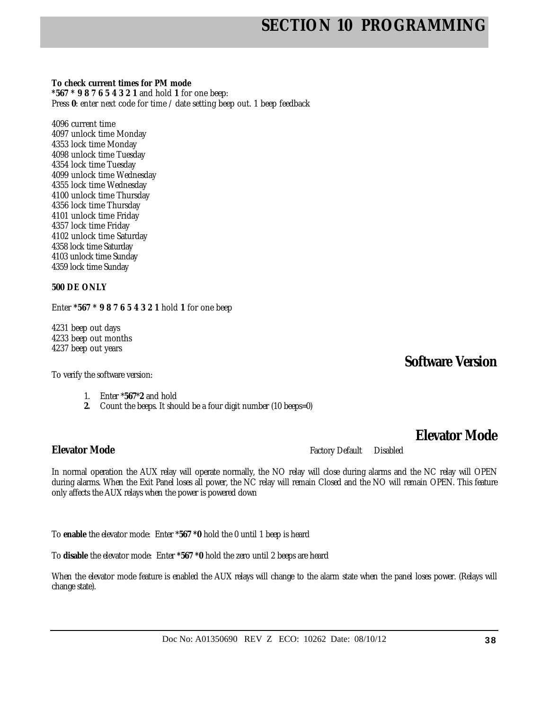**To check current times for PM mode** 

**\*567 \* 9 8 7 6 5 4 3 2 1** and hold **1** for one beep: Press 0: enter next code for time / date setting beep out. 1 beep feedback

4096 current time 4097 unlock time Monday 4353 lock time Monday 4098 unlock time Tuesday 4354 lock time Tuesday 4099 unlock time Wednesday 4355 lock time Wednesday 4100 unlock time Thursday 4356 lock time Thursday 4101 unlock time Friday 4357 lock time Friday 4102 unlock time Saturday 4358 lock time Saturday 4103 unlock time Sunday 4359 lock time Sunday

#### **500 DE ONLY**

Enter **\*567 \* 9 8 7 6 5 4 3 2 1** hold **1** for one beep

4231 beep out days 4233 beep out months 4237 beep out years

To verify the software version:

- 1. Enter \***567**\***2** and hold
- **2.** Count the beeps. It should be a four digit number (10 beeps=0)

**Elevator Mode** 

**Software Version** 

**Elevator Mode** Factory Default Disabled

In normal operation the AUX relay will operate normally, the NO relay will close during alarms and the NC relay will OPEN during alarms. When the Exit Panel loses all power, the NC relay will remain Closed and the NO will remain OPEN. This feature only affects the AUX relays when the power is powered down

To **enable** the elevator mode: Enter \***567 \*0** hold the 0 until 1 beep is heard

To **disable** the elevator mode: Enter **\*567 \*0** hold the zero until 2 beeps are heard

When the elevator mode feature is enabled the AUX relays will change to the alarm state when the panel loses power. (Relays will change state).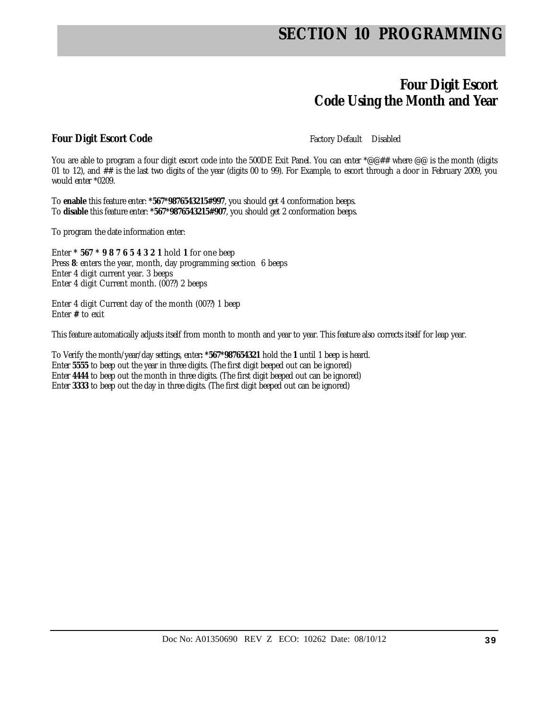### **Four Digit Escort Code Using the Month and Year**

### **Four Digit Escort Code Factory Default** Disabled

You are able to program a four digit escort code into the 500DE Exit Panel. You can enter \*@@## where @@ is the month (digits 01 to 12), and ## is the last two digits of the year (digits 00 to 99). For Example, to escort through a door in February 2009, you would enter \*0209.

To **enable** this feature enter: **\*567\*9876543215#997**, you should get 4 conformation beeps. To **disable** this feature enter: **\*567\*9876543215#907**, you should get 2 conformation beeps.

To program the date information enter:

Enter **\* 567 \* 9 8 7 6 5 4 3 2 1** hold **1** for one beep Press **8**: enters the year, month, day programming section 6 beeps Enter 4 digit current year. 3 beeps Enter 4 digit Current month. (00??) 2 beeps

Enter 4 digit Current day of the month (00??) 1 beep Enter **#** to exit

This feature automatically adjusts itself from month to month and year to year. This feature also corrects itself for leap year.

To Verify the month/year/day settings, enter**: \*567\*987654321** hold the **1** until 1 beep is heard. Enter **5555** to beep out the year in three digits. (The first digit beeped out can be ignored) Enter **4444** to beep out the month in three digits. (The first digit beeped out can be ignored) Enter **3333** to beep out the day in three digits. (The first digit beeped out can be ignored)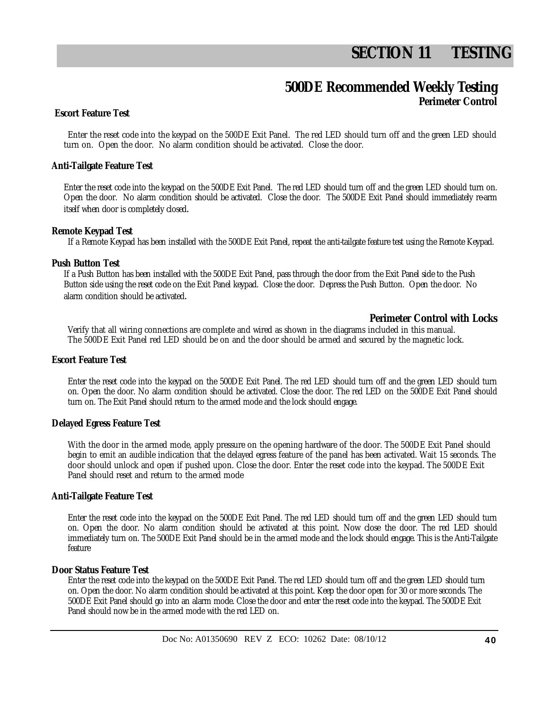# **SECTION 11 TESTING**

### **500DE Recommended Weekly Testing Perimeter Control**

### **Escort Feature Test**

Enter the reset code into the keypad on the 500DE Exit Panel. The red LED should turn off and the green LED should turn on. Open the door. No alarm condition should be activated. Close the door.

#### **Anti-Tailgate Feature Test**

Enter the reset code into the keypad on the 500DE Exit Panel. The red LED should turn off and the green LED should turn on. Open the door. No alarm condition should be activated. Close the door. The 500DE Exit Panel should immediately re-arm itself when door is completely closed.

#### **Remote Keypad Test**

If a Remote Keypad has been installed with the 500DE Exit Panel, repeat the anti-tailgate feature test using the Remote Keypad.

#### **Push Button Test**

If a Push Button has been installed with the 500DE Exit Panel, pass through the door from the Exit Panel side to the Push Button side using the reset code on the Exit Panel keypad. Close the door. Depress the Push Button. Open the door. No alarm condition should be activated.

### **Perimeter Control with Locks**

Verify that all wiring connections are complete and wired as shown in the diagrams included in this manual. The 500DE Exit Panel red LED should be on and the door should be armed and secured by the magnetic lock.

#### **Escort Feature Test**

Enter the reset code into the keypad on the 500DE Exit Panel. The red LED should turn off and the green LED should turn on. Open the door. No alarm condition should be activated. Close the door. The red LED on the 500DE Exit Panel should turn on. The Exit Panel should return to the armed mode and the lock should engage.

### **Delayed Egress Feature Test**

With the door in the armed mode, apply pressure on the opening hardware of the door. The 500DE Exit Panel should begin to emit an audible indication that the delayed egress feature of the panel has been activated. Wait 15 seconds. The door should unlock and open if pushed upon. Close the door. Enter the reset code into the keypad. The 500DE Exit Panel should reset and return to the armed mode

### **Anti-Tailgate Feature Test**

Enter the reset code into the keypad on the 500DE Exit Panel. The red LED should turn off and the green LED should turn on. Open the door. No alarm condition should be activated at this point. Now close the door. The red LED should immediately turn on. The 500DE Exit Panel should be in the armed mode and the lock should engage. This is the Anti-Tailgate feature

#### **Door Status Feature Test**

Enter the reset code into the keypad on the 500DE Exit Panel. The red LED should turn off and the green LED should turn on. Open the door. No alarm condition should be activated at this point. Keep the door open for 30 or more seconds. The 500DE Exit Panel should go into an alarm mode. Close the door and enter the reset code into the keypad. The 500DE Exit Panel should now be in the armed mode with the red LED on.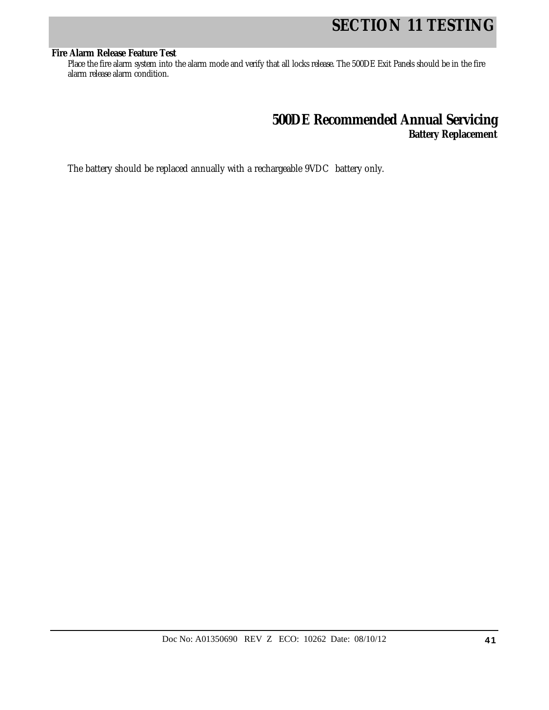# **SECTION 11 TESTING**

#### **Fire Alarm Release Feature Test**

Place the fire alarm system into the alarm mode and verify that all locks release. The 500DE Exit Panels should be in the fire alarm release alarm condition.

### **500DE Recommended Annual Servicing Battery Replacement**

The battery should be replaced annually with a rechargeable 9VDC battery only.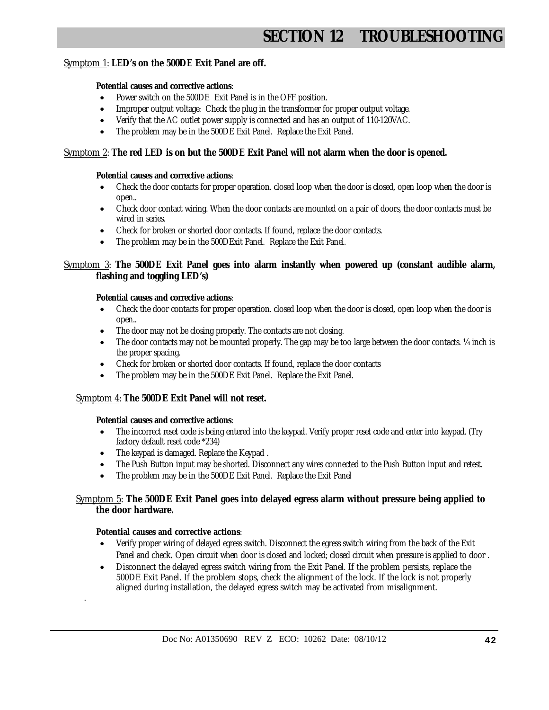# **SECTION 12 TROUBLESHOOTIN**

### Symptom 1: **LED's on the 500DE Exit Panel are off.**

### **Potential causes and corrective actions**:

- Power switch on the 500DE Exit Panel is in the OFF position.
- Improper output voltage: Check the plug in the transformer for proper output voltage.
- Verify that the AC outlet power supply is connected and has an output of 110-120VAC.
- The problem may be in the 500DE Exit Panel. Replace the Exit Panel.

### Symptom 2: **The red LED is on but the 500DE Exit Panel will not alarm when the door is opened.**

#### **Potential causes and corrective actions**:

- Check the door contacts for proper operation. closed loop when the door is closed, open loop when the door is open..
- Check door contact wiring. When the door contacts are mounted on a pair of doors, the door contacts must be wired in series.
- Check for broken or shorted door contacts. If found, replace the door contacts.
- The problem may be in the 500DExit Panel. Replace the Exit Panel.

### Symptom 3: **The 500DE Exit Panel goes into alarm instantly when powered up (constant audible alarm, flashing and toggling LED's)**

#### **Potential causes and corrective actions**:

- Check the door contacts for proper operation. closed loop when the door is closed, open loop when the door is open..
- The door may not be closing properly. The contacts are not closing.
- The door contacts may not be mounted properly. The gap may be too large between the door contacts.  $\frac{1}{4}$  inch is the proper spacing.
- Check for broken or shorted door contacts. If found, replace the door contacts
- The problem may be in the 500DE Exit Panel. Replace the Exit Panel.

### Symptom 4: **The 500DE Exit Panel will not reset.**

#### **Potential causes and corrective actions**:

- The incorrect reset code is being entered into the keypad. Verify proper reset code and enter into keypad. (Try factory default reset code \*234)
- The keypad is damaged. Replace the Keypad.
- The Push Button input may be shorted. Disconnect any wires connected to the Push Button input and retest.
- The problem may be in the 500DE Exit Panel. Replace the Exit Panel

### Symptom 5: **The 500DE Exit Panel goes into delayed egress alarm without pressure being applied to the door hardware.**

#### **Potential causes and corrective actions**:

.

- Verify proper wiring of delayed egress switch. Disconnect the egress switch wiring from the back of the Exit Panel and check. Open circuit when door is closed and locked; closed circuit when pressure is applied to door .
- Disconnect the delayed egress switch wiring from the Exit Panel. If the problem persists, replace the 500DE Exit Panel. If the problem stops, check the alignment of the lock. If the lock is not properly aligned during installation, the delayed egress switch may be activated from misalignment.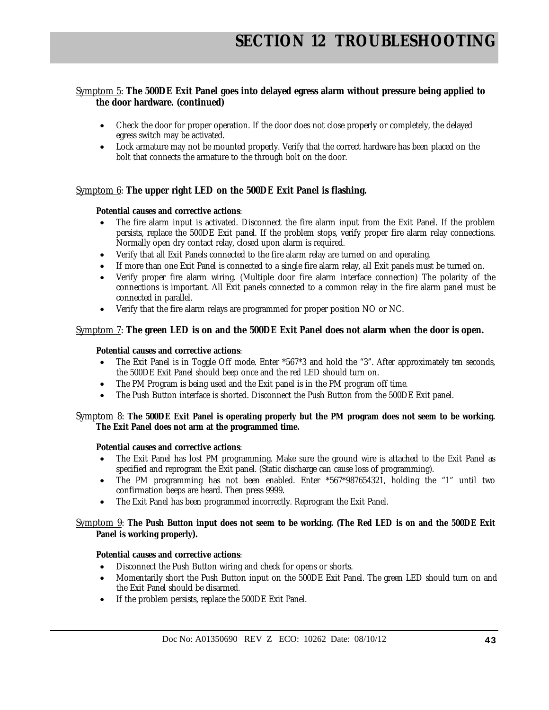### Symptom 5: **The 500DE Exit Panel goes into delayed egress alarm without pressure being applied to the door hardware. (continued)**

- Check the door for proper operation. If the door does not close properly or completely, the delayed egress switch may be activated.
- Lock armature may not be mounted properly. Verify that the correct hardware has been placed on the bolt that connects the armature to the through bolt on the door.

### Symptom 6: **The upper right LED on the 500DE Exit Panel is flashing.**

### **Potential causes and corrective actions**:

- The fire alarm input is activated. Disconnect the fire alarm input from the Exit Panel. If the problem persists, replace the 500DE Exit panel. If the problem stops, verify proper fire alarm relay connections. Normally open dry contact relay, closed upon alarm is required.
- Verify that all Exit Panels connected to the fire alarm relay are turned on and operating.
- If more than one Exit Panel is connected to a single fire alarm relay, all Exit panels must be turned on.
- Verify proper fire alarm wiring. (Multiple door fire alarm interface connection) The polarity of the connections is important. All Exit panels connected to a common relay in the fire alarm panel must be connected in parallel.
- Verify that the fire alarm relays are programmed for proper position NO or NC.

### Symptom 7: **The green LED is on and the 500DE Exit Panel does not alarm when the door is open.**

### **Potential causes and corrective actions**:

- The Exit Panel is in Toggle Off mode. Enter \*567\*3 and hold the "3". After approximately ten seconds, the 500DE Exit Panel should beep once and the red LED should turn on.
- The PM Program is being used and the Exit panel is in the PM program off time.
- The Push Button interface is shorted. Disconnect the Push Button from the 500DE Exit panel.

### Symptom 8: **The 500DE Exit Panel is operating properly but the PM program does not seem to be working. The Exit Panel does not arm at the programmed time.**

### **Potential causes and corrective actions**:

- The Exit Panel has lost PM programming. Make sure the ground wire is attached to the Exit Panel as specified and reprogram the Exit panel. (Static discharge can cause loss of programming).
- The PM programming has not been enabled. Enter \*567\*987654321, holding the "1" until two confirmation beeps are heard. Then press 9999.
- The Exit Panel has been programmed incorrectly. Reprogram the Exit Panel.

#### Symptom 9: **The Push Button input does not seem to be working. (The Red LED is on and the 500DE Exit Panel is working properly).**

### **Potential causes and corrective actions**:

- Disconnect the Push Button wiring and check for opens or shorts.
- Momentarily short the Push Button input on the 500DE Exit Panel. The green LED should turn on and the Exit Panel should be disarmed.
- If the problem persists, replace the 500DE Exit Panel.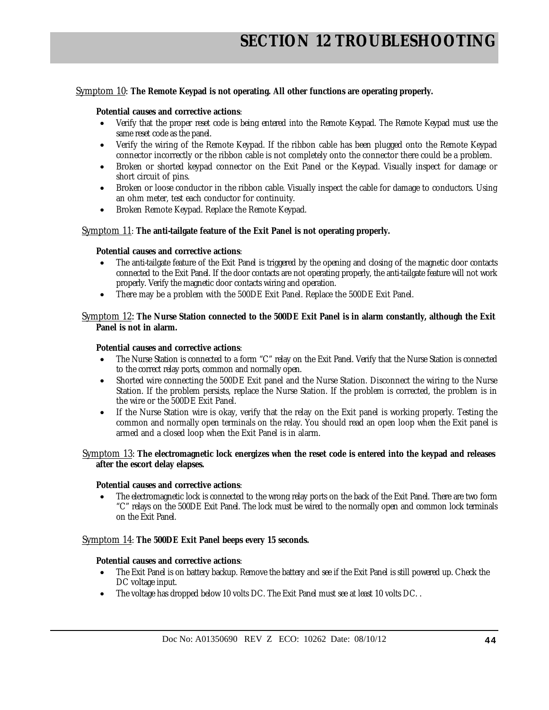#### Symptom 10: **The Remote Keypad is not operating. All other functions are operating properly.**

#### **Potential causes and corrective actions**:

- Verify that the proper reset code is being entered into the Remote Keypad. The Remote Keypad must use the same reset code as the panel.
- Verify the wiring of the Remote Keypad. If the ribbon cable has been plugged onto the Remote Keypad connector incorrectly or the ribbon cable is not completely onto the connector there could be a problem.
- Broken or shorted keypad connector on the Exit Panel or the Keypad. Visually inspect for damage or short circuit of pins.
- Broken or loose conductor in the ribbon cable. Visually inspect the cable for damage to conductors. Using an ohm meter, test each conductor for continuity.
- Broken Remote Keypad. Replace the Remote Keypad.

#### Symptom 11: **The anti-tailgate feature of the Exit Panel is not operating properly.**

### **Potential causes and corrective actions**:

- The anti-tailgate feature of the Exit Panel is triggered by the opening and closing of the magnetic door contacts connected to the Exit Panel. If the door contacts are not operating properly, the anti-tailgate feature will not work properly. Verify the magnetic door contacts wiring and operation.
- There may be a problem with the 500DE Exit Panel. Replace the 500DE Exit Panel.

#### Symptom 12: **The Nurse Station connected to the 500DE Exit Panel is in alarm constantly, although the Exit Panel is not in alarm.**

#### **Potential causes and corrective actions**:

- The Nurse Station is connected to a form "C" relay on the Exit Panel. Verify that the Nurse Station is connected to the correct relay ports, common and normally open.
- Shorted wire connecting the 500DE Exit panel and the Nurse Station. Disconnect the wiring to the Nurse Station. If the problem persists, replace the Nurse Station. If the problem is corrected, the problem is in the wire or the 500DE Exit Panel.
- If the Nurse Station wire is okay, verify that the relay on the Exit panel is working properly. Testing the common and normally open terminals on the relay. You should read an open loop when the Exit panel is armed and a closed loop when the Exit Panel is in alarm.

 Symptom 13: **The electromagnetic lock energizes when the reset code is entered into the keypad and releases after the escort delay elapses.** 

#### **Potential causes and corrective actions**:

 The electromagnetic lock is connected to the wrong relay ports on the back of the Exit Panel. There are two form "C" relays on the 500DE Exit Panel. The lock must be wired to the normally open and common lock terminals on the Exit Panel.

#### Symptom 14: **The 500DE Exit Panel beeps every 15 seconds.**

#### **Potential causes and corrective actions**:

- The Exit Panel is on battery backup. Remove the battery and see if the Exit Panel is still powered up. Check the DC voltage input.
- The voltage has dropped below 10 volts DC. The Exit Panel must see at least 10 volts DC. .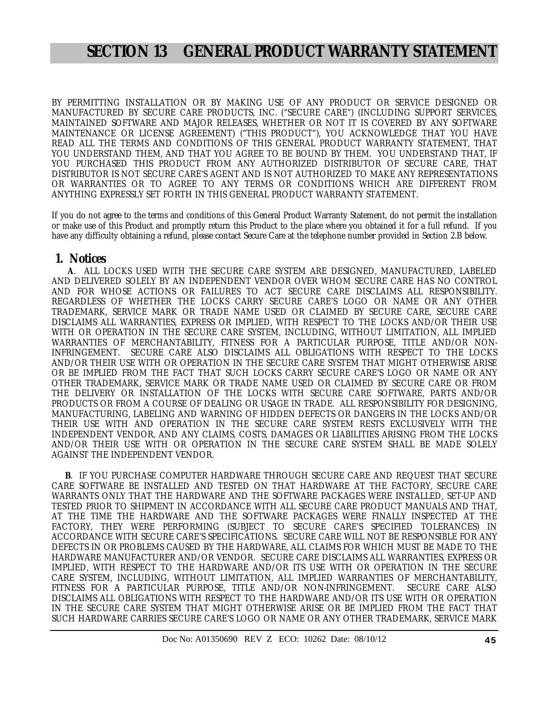## **SECTION 13 GENERAL PRODUCT WARRANTY STATEMENT**

BY PERMITTING INSTALLATION OR BY MAKING USE OF ANY PRODUCT OR SERVICE DESIGNED OR MANUFACTURED BY SECURE CARE PRODUCTS, INC. ("SECURE CARE") (INCLUDING SUPPORT SERVICES, MAINTAINED SOFTWARE AND MAJOR RELEASES, WHETHER OR NOT IT IS COVERED BY ANY SOFTWARE MAINTENANCE OR LICENSE AGREEMENT) ("THIS PRODUCT"), YOU ACKNOWLEDGE THAT YOU HAVE READ ALL THE TERMS AND CONDITIONS OF THIS GENERAL PRODUCT WARRANTY STATEMENT, THAT YOU UNDERSTAND THEM, AND THAT YOU AGREE TO BE BOUND BY THEM. YOU UNDERSTAND THAT, IF YOU PURCHASED THIS PRODUCT FROM ANY AUTHORIZED DISTRIBUTOR OF SECURE CARE, THAT DISTRIBUTOR IS NOT SECURE CARE'S AGENT AND IS NOT AUTHORIZED TO MAKE ANY REPRESENTATIONS OR WARRANTIES OR TO AGREE TO ANY TERMS OR CONDITIONS WHICH ARE DIFFERENT FROM ANYTHING EXPRESSLY SET FORTH IN THIS GENERAL PRODUCT WARRANTY STATEMENT.

If you do not agree to the terms and conditions of this General Product Warranty Statement, do not permit the installation or make use of this Product and promptly return this Product to the place where you obtained it for a full refund. If you have any difficulty obtaining a refund, please contact Secure Care at the telephone number provided in Section 2.B below.

### **1. Notices**

 **A**. ALL LOCKS USED WITH THE SECURE CARE SYSTEM ARE DESIGNED, MANUFACTURED, LABELED AND DELIVERED SOLELY BY AN INDEPENDENT VENDOR OVER WHOM SECURE CARE HAS NO CONTROL AND FOR WHOSE ACTIONS OR FAILURES TO ACT SECURE CARE DISCLAIMS ALL RESPONSIBILITY. REGARDLESS OF WHETHER THE LOCKS CARRY SECURE CARE'S LOGO OR NAME OR ANY OTHER TRADEMARK, SERVICE MARK OR TRADE NAME USED OR CLAIMED BY SECURE CARE, SECURE CARE DISCLAIMS ALL WARRANTIES, EXPRESS OR IMPLIED, WITH RESPECT TO THE LOCKS AND/OR THEIR USE WITH OR OPERATION IN THE SECURE CARE SYSTEM, INCLUDING, WITHOUT LIMITATION, ALL IMPLIED WARRANTIES OF MERCHANTABILITY, FITNESS FOR A PARTICULAR PURPOSE, TITLE AND/OR NON-INFRINGEMENT. SECURE CARE ALSO DISCLAIMS ALL OBLIGATIONS WITH RESPECT TO THE LOCKS AND/OR THEIR USE WITH OR OPERATION IN THE SECURE CARE SYSTEM THAT MIGHT OTHERWISE ARISE OR BE IMPLIED FROM THE FACT THAT SUCH LOCKS CARRY SECURE CARE'S LOGO OR NAME OR ANY OTHER TRADEMARK, SERVICE MARK OR TRADE NAME USED OR CLAIMED BY SECURE CARE OR FROM THE DELIVERY OR INSTALLATION OF THE LOCKS WITH SECURE CARE SOFTWARE, PARTS AND/OR PRODUCTS OR FROM A COURSE OF DEALING OR USAGE IN TRADE. ALL RESPONSIBILITY FOR DESIGNING, MANUFACTURING, LABELING AND WARNING OF HIDDEN DEFECTS OR DANGERS IN THE LOCKS AND/OR THEIR USE WITH AND OPERATION IN THE SECURE CARE SYSTEM RESTS EXCLUSIVELY WITH THE INDEPENDENT VENDOR, AND ANY CLAIMS, COSTS, DAMAGES OR LIABILITIES ARISING FROM THE LOCKS AND/OR THEIR USE WITH OR OPERATION IN THE SECURE CARE SYSTEM SHALL BE MADE SOLELY AGAINST THE INDEPENDENT VENDOR.

 **B**. IF YOU PURCHASE COMPUTER HARDWARE THROUGH SECURE CARE AND REQUEST THAT SECURE CARE SOFTWARE BE INSTALLED AND TESTED ON THAT HARDWARE AT THE FACTORY, SECURE CARE WARRANTS ONLY THAT THE HARDWARE AND THE SOFTWARE PACKAGES WERE INSTALLED, SET-UP AND TESTED PRIOR TO SHIPMENT IN ACCORDANCE WITH ALL SECURE CARE PRODUCT MANUALS AND THAT, AT THE TIME THE HARDWARE AND THE SOFTWARE PACKAGES WERE FINALLY INSPECTED AT THE FACTORY, THEY WERE PERFORMING (SUBJECT TO SECURE CARE'S SPECIFIED TOLERANCES) IN ACCORDANCE WITH SECURE CARE'S SPECIFICATIONS. SECURE CARE WILL NOT BE RESPONSIBLE FOR ANY DEFECTS IN OR PROBLEMS CAUSED BY THE HARDWARE, ALL CLAIMS FOR WHICH MUST BE MADE TO THE HARDWARE MANUFACTURER AND/OR VENDOR. SECURE CARE DISCLAIMS ALL WARRANTIES, EXPRESS OR IMPLIED, WITH RESPECT TO THE HARDWARE AND/OR ITS USE WITH OR OPERATION IN THE SECURE CARE SYSTEM, INCLUDING, WITHOUT LIMITATION, ALL IMPLIED WARRANTIES OF MERCHANTABILITY, FITNESS FOR A PARTICULAR PURPOSE, TITLE AND/OR NON-INFRINGEMENT. SECURE CARE ALSO DISCLAIMS ALL OBLIGATIONS WITH RESPECT TO THE HARDWARE AND/OR ITS USE WITH OR OPERATION IN THE SECURE CARE SYSTEM THAT MIGHT OTHERWISE ARISE OR BE IMPLIED FROM THE FACT THAT SUCH HARDWARE CARRIES SECURE CARE'S LOGO OR NAME OR ANY OTHER TRADEMARK, SERVICE MARK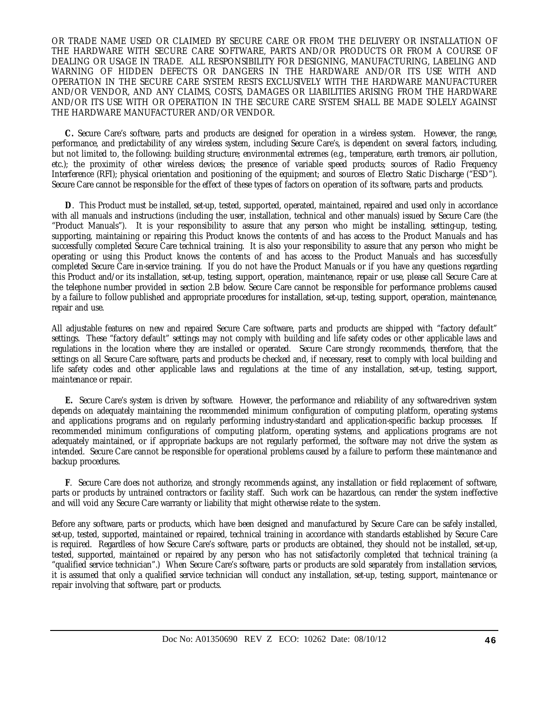OR TRADE NAME USED OR CLAIMED BY SECURE CARE OR FROM THE DELIVERY OR INSTALLATION OF THE HARDWARE WITH SECURE CARE SOFTWARE, PARTS AND/OR PRODUCTS OR FROM A COURSE OF DEALING OR USAGE IN TRADE. ALL RESPONSIBILITY FOR DESIGNING, MANUFACTURING, LABELING AND WARNING OF HIDDEN DEFECTS OR DANGERS IN THE HARDWARE AND/OR ITS USE WITH AND OPERATION IN THE SECURE CARE SYSTEM RESTS EXCLUSIVELY WITH THE HARDWARE MANUFACTURER AND/OR VENDOR, AND ANY CLAIMS, COSTS, DAMAGES OR LIABILITIES ARISING FROM THE HARDWARE AND/OR ITS USE WITH OR OPERATION IN THE SECURE CARE SYSTEM SHALL BE MADE SOLELY AGAINST THE HARDWARE MANUFACTURER AND/OR VENDOR.

 **C.** Secure Care's software, parts and products are designed for operation in a wireless system. However, the range, performance, and predictability of any wireless system, including Secure Care's, is dependent on several factors, including, but not limited to, the following: building structure; environmental extremes (e.g., temperature, earth tremors, air pollution, etc.); the proximity of other wireless devices; the presence of variable speed products; sources of Radio Frequency Interference (RFI); physical orientation and positioning of the equipment; and sources of Electro Static Discharge ("ESD"). Secure Care cannot be responsible for the effect of these types of factors on operation of its software, parts and products.

 **D**. This Product must be installed, set-up, tested, supported, operated, maintained, repaired and used only in accordance with all manuals and instructions (including the user, installation, technical and other manuals) issued by Secure Care (the "Product Manuals"). It is your responsibility to assure that any person who might be installing, setting-up, testing, supporting, maintaining or repairing this Product knows the contents of and has access to the Product Manuals and has successfully completed Secure Care technical training. It is also your responsibility to assure that any person who might be operating or using this Product knows the contents of and has access to the Product Manuals and has successfully completed Secure Care in-service training. If you do not have the Product Manuals or if you have any questions regarding this Product and/or its installation, set-up, testing, support, operation, maintenance, repair or use, please call Secure Care at the telephone number provided in section 2.B below. Secure Care cannot be responsible for performance problems caused by a failure to follow published and appropriate procedures for installation, set-up, testing, support, operation, maintenance, repair and use.

All adjustable features on new and repaired Secure Care software, parts and products are shipped with "factory default" settings. These "factory default" settings may not comply with building and life safety codes or other applicable laws and regulations in the location where they are installed or operated. Secure Care strongly recommends, therefore, that the settings on all Secure Care software, parts and products be checked and, if necessary, reset to comply with local building and life safety codes and other applicable laws and regulations at the time of any installation, set-up, testing, support, maintenance or repair.

 **E.** Secure Care's system is driven by software. However, the performance and reliability of any software-driven system depends on adequately maintaining the recommended minimum configuration of computing platform, operating systems and applications programs and on regularly performing industry-standard and application-specific backup processes. If recommended minimum configurations of computing platform, operating systems, and applications programs are not adequately maintained, or if appropriate backups are not regularly performed, the software may not drive the system as intended. Secure Care cannot be responsible for operational problems caused by a failure to perform these maintenance and backup procedures.

 **F**. Secure Care does not authorize, and strongly recommends against, any installation or field replacement of software, parts or products by untrained contractors or facility staff. Such work can be hazardous, can render the system ineffective and will void any Secure Care warranty or liability that might otherwise relate to the system.

Before any software, parts or products, which have been designed and manufactured by Secure Care can be safely installed, set-up, tested, supported, maintained or repaired, technical training in accordance with standards established by Secure Care is required. Regardless of how Secure Care's software, parts or products are obtained, they should not be installed, set-up, tested, supported, maintained or repaired by any person who has not satisfactorily completed that technical training (a "qualified service technician".) When Secure Care's software, parts or products are sold separately from installation services, it is assumed that only a qualified service technician will conduct any installation, set-up, testing, support, maintenance or repair involving that software, part or products.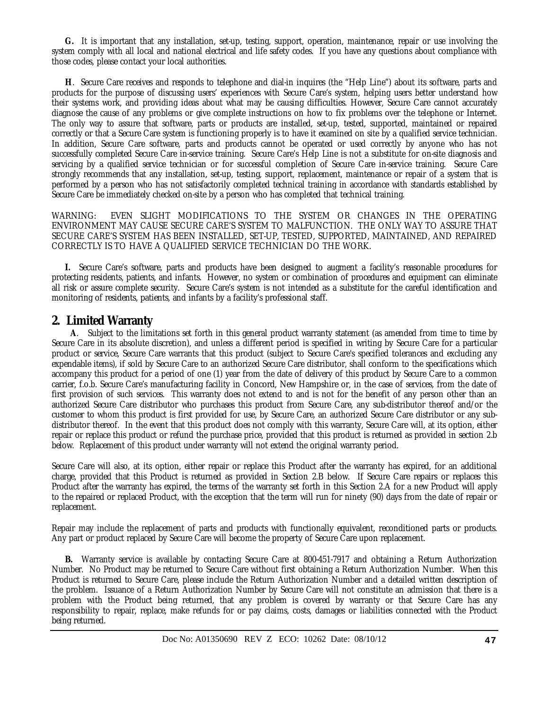**G.** It is important that any installation, set-up, testing, support, operation, maintenance, repair or use involving the system comply with all local and national electrical and life safety codes. If you have any questions about compliance with those codes, please contact your local authorities.

 **H**. Secure Care receives and responds to telephone and dial-in inquires (the "Help Line") about its software, parts and products for the purpose of discussing users' experiences with Secure Care's system, helping users better understand how their systems work, and providing ideas about what may be causing difficulties. However, Secure Care cannot accurately diagnose the cause of any problems or give complete instructions on how to fix problems over the telephone or Internet. The only way to assure that software, parts or products are installed, set-up, tested, supported, maintained or repaired correctly or that a Secure Care system is functioning properly is to have it examined on site by a qualified service technician. In addition, Secure Care software, parts and products cannot be operated or used correctly by anyone who has not successfully completed Secure Care in-service training. Secure Care's Help Line is not a substitute for on-site diagnosis and servicing by a qualified service technician or for successful completion of Secure Care in-service training. Secure Care strongly recommends that any installation, set-up, testing, support, replacement, maintenance or repair of a system that is performed by a person who has not satisfactorily completed technical training in accordance with standards established by Secure Care be immediately checked on-site by a person who has completed that technical training.

WARNING: EVEN SLIGHT MODIFICATIONS TO THE SYSTEM OR CHANGES IN THE OPERATING ENVIRONMENT MAY CAUSE SECURE CARE'S SYSTEM TO MALFUNCTION. THE ONLY WAY TO ASSURE THAT SECURE CARE'S SYSTEM HAS BEEN INSTALLED, SET-UP, TESTED, SUPPORTED, MAINTAINED, AND REPAIRED CORRECTLY IS TO HAVE A QUALIFIED SERVICE TECHNICIAN DO THE WORK.

 **I.** Secure Care's software, parts and products have been designed to augment a facility's reasonable procedures for protecting residents, patients, and infants. However, no system or combination of procedures and equipment can eliminate all risk or assure complete security. Secure Care's system is not intended as a substitute for the careful identification and monitoring of residents, patients, and infants by a facility's professional staff.

### **2. Limited Warranty**

 **A**. Subject to the limitations set forth in this general product warranty statement (as amended from time to time by Secure Care in its absolute discretion), and unless a different period is specified in writing by Secure Care for a particular product or service, Secure Care warrants that this product (subject to Secure Care's specified tolerances and excluding any expendable items), if sold by Secure Care to an authorized Secure Care distributor, shall conform to the specifications which accompany this product for a period of one (1) year from the date of delivery of this product by Secure Care to a common carrier, f.o.b. Secure Care's manufacturing facility in Concord, New Hampshire or, in the case of services, from the date of first provision of such services. This warranty does not extend to and is not for the benefit of any person other than an authorized Secure Care distributor who purchases this product from Secure Care, any sub-distributor thereof and/or the customer to whom this product is first provided for use, by Secure Care, an authorized Secure Care distributor or any subdistributor thereof. In the event that this product does not comply with this warranty, Secure Care will, at its option, either repair or replace this product or refund the purchase price, provided that this product is returned as provided in section 2.b below. Replacement of this product under warranty will not extend the original warranty period.

Secure Care will also, at its option, either repair or replace this Product after the warranty has expired, for an additional charge, provided that this Product is returned as provided in Section 2.B below. If Secure Care repairs or replaces this Product after the warranty has expired, the terms of the warranty set forth in this Section 2.A for a new Product will apply to the repaired or replaced Product, with the exception that the term will run for ninety (90) days from the date of repair or replacement.

Repair may include the replacement of parts and products with functionally equivalent, reconditioned parts or products. Any part or product replaced by Secure Care will become the property of Secure Care upon replacement.

 **B.** Warranty service is available by contacting Secure Care at 800-451-7917 and obtaining a Return Authorization Number. No Product may be returned to Secure Care without first obtaining a Return Authorization Number. When this Product is returned to Secure Care, please include the Return Authorization Number and a detailed written description of the problem. Issuance of a Return Authorization Number by Secure Care will not constitute an admission that there is a problem with the Product being returned, that any problem is covered by warranty or that Secure Care has any responsibility to repair, replace, make refunds for or pay claims, costs, damages or liabilities connected with the Product being returned.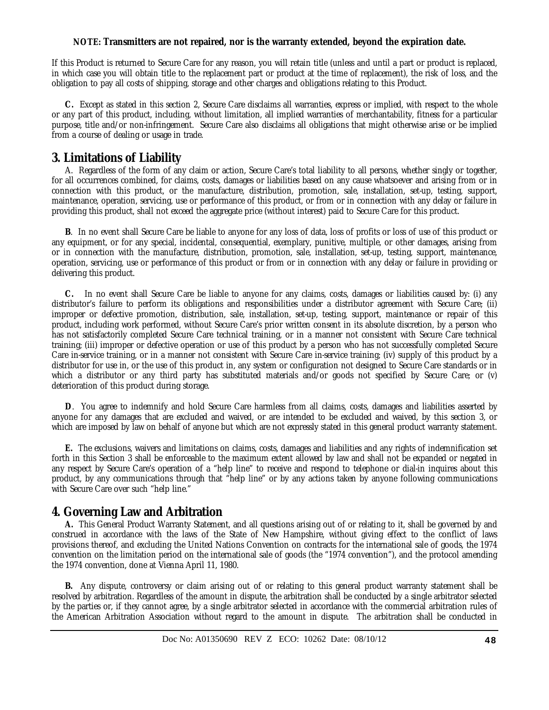### **NOTE: Transmitters are not repaired, nor is the warranty extended, beyond the expiration date.**

If this Product is returned to Secure Care for any reason, you will retain title (unless and until a part or product is replaced, in which case you will obtain title to the replacement part or product at the time of replacement), the risk of loss, and the obligation to pay all costs of shipping, storage and other charges and obligations relating to this Product.

 **C.** Except as stated in this section 2, Secure Care disclaims all warranties, express or implied, with respect to the whole or any part of this product, including, without limitation, all implied warranties of merchantability, fitness for a particular purpose, title and/or non-infringement. Secure Care also disclaims all obligations that might otherwise arise or be implied from a course of dealing or usage in trade.

### **3. Limitations of Liability**

 A. Regardless of the form of any claim or action, Secure Care's total liability to all persons, whether singly or together, for all occurrences combined, for claims, costs, damages or liabilities based on any cause whatsoever and arising from or in connection with this product, or the manufacture, distribution, promotion, sale, installation, set-up, testing, support, maintenance, operation, servicing, use or performance of this product, or from or in connection with any delay or failure in providing this product, shall not exceed the aggregate price (without interest) paid to Secure Care for this product.

 **B**. In no event shall Secure Care be liable to anyone for any loss of data, loss of profits or loss of use of this product or any equipment, or for any special, incidental, consequential, exemplary, punitive, multiple, or other damages, arising from or in connection with the manufacture, distribution, promotion, sale, installation, set-up, testing, support, maintenance, operation, servicing, use or performance of this product or from or in connection with any delay or failure in providing or delivering this product.

 **C.** In no event shall Secure Care be liable to anyone for any claims, costs, damages or liabilities caused by: (i) any distributor's failure to perform its obligations and responsibilities under a distributor agreement with Secure Care; (ii) improper or defective promotion, distribution, sale, installation, set-up, testing, support, maintenance or repair of this product, including work performed, without Secure Care's prior written consent in its absolute discretion, by a person who has not satisfactorily completed Secure Care technical training, or in a manner not consistent with Secure Care technical training; (iii) improper or defective operation or use of this product by a person who has not successfully completed Secure Care in-service training, or in a manner not consistent with Secure Care in-service training; (iv) supply of this product by a distributor for use in, or the use of this product in, any system or configuration not designed to Secure Care standards or in which a distributor or any third party has substituted materials and/or goods not specified by Secure Care; or (v) deterioration of this product during storage.

 **D**. You agree to indemnify and hold Secure Care harmless from all claims, costs, damages and liabilities asserted by anyone for any damages that are excluded and waived, or are intended to be excluded and waived, by this section 3, or which are imposed by law on behalf of anyone but which are not expressly stated in this general product warranty statement.

 **E.** The exclusions, waivers and limitations on claims, costs, damages and liabilities and any rights of indemnification set forth in this Section 3 shall be enforceable to the maximum extent allowed by law and shall not be expanded or negated in any respect by Secure Care's operation of a "help line" to receive and respond to telephone or dial-in inquires about this product, by any communications through that "help line" or by any actions taken by anyone following communications with Secure Care over such "help line."

### **4. Governing Law and Arbitration**

 **A.** This General Product Warranty Statement, and all questions arising out of or relating to it, shall be governed by and construed in accordance with the laws of the State of New Hampshire, without giving effect to the conflict of laws provisions thereof, and excluding the United Nations Convention on contracts for the international sale of goods, the 1974 convention on the limitation period on the international sale of goods (the "1974 convention"), and the protocol amending the 1974 convention, done at Vienna April 11, 1980.

 **B.** Any dispute, controversy or claim arising out of or relating to this general product warranty statement shall be resolved by arbitration. Regardless of the amount in dispute, the arbitration shall be conducted by a single arbitrator selected by the parties or, if they cannot agree, by a single arbitrator selected in accordance with the commercial arbitration rules of the American Arbitration Association without regard to the amount in dispute. The arbitration shall be conducted in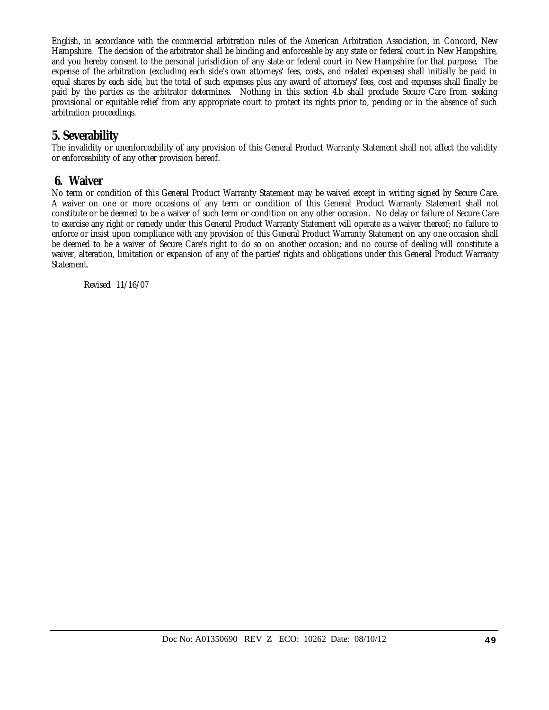English, in accordance with the commercial arbitration rules of the American Arbitration Association, in Concord, New Hampshire. The decision of the arbitrator shall be binding and enforceable by any state or federal court in New Hampshire, and you hereby consent to the personal jurisdiction of any state or federal court in New Hampshire for that purpose. The expense of the arbitration (excluding each side's own attorneys' fees, costs, and related expenses) shall initially be paid in equal shares by each side, but the total of such expenses plus any award of attorneys' fees, cost and expenses shall finally be paid by the parties as the arbitrator determines. Nothing in this section 4.b shall preclude Secure Care from seeking provisional or equitable relief from any appropriate court to protect its rights prior to, pending or in the absence of such arbitration proceedings.

### **5. Severability**

The invalidity or unenforceability of any provision of this General Product Warranty Statement shall not affect the validity or enforceability of any other provision hereof.

### **6. Waiver**

No term or condition of this General Product Warranty Statement may be waived except in writing signed by Secure Care. A waiver on one or more occasions of any term or condition of this General Product Warranty Statement shall not constitute or be deemed to be a waiver of such term or condition on any other occasion. No delay or failure of Secure Care to exercise any right or remedy under this General Product Warranty Statement will operate as a waiver thereof; no failure to enforce or insist upon compliance with any provision of this General Product Warranty Statement on any one occasion shall be deemed to be a waiver of Secure Care's right to do so on another occasion; and no course of dealing will constitute a waiver, alteration, limitation or expansion of any of the parties' rights and obligations under this General Product Warranty Statement.

Revised 11/16/07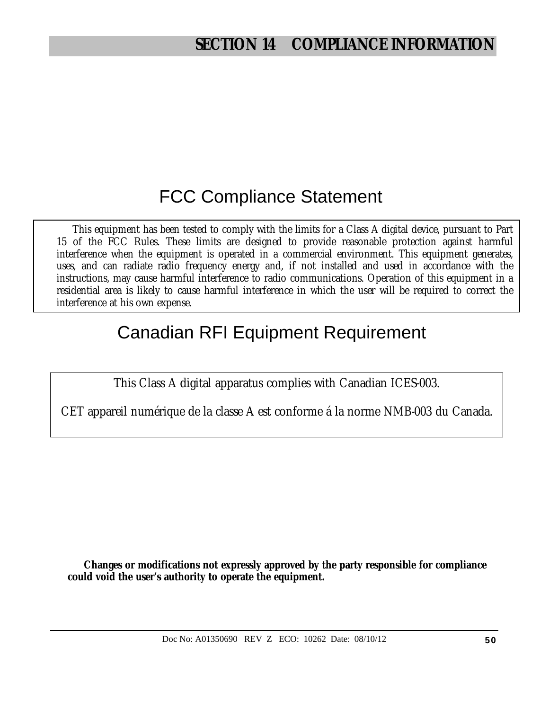# FCC Compliance Statement

This equipment has been tested to comply with the limits for a Class A digital device, pursuant to Part 15 of the FCC Rules. These limits are designed to provide reasonable protection against harmful interference when the equipment is operated in a commercial environment. This equipment generates, uses, and can radiate radio frequency energy and, if not installed and used in accordance with the instructions, may cause harmful interference to radio communications. Operation of this equipment in a residential area is likely to cause harmful interference in which the user will be required to correct the interference at his own expense.

# Canadian RFI Equipment Requirement

This Class A digital apparatus complies with Canadian ICES-003.

CET appareil numérique de la classe A est conforme á la norme NMB-003 du Canada.

**Changes or modifications not expressly approved by the party responsible for compliance could void the user's authority to operate the equipment.**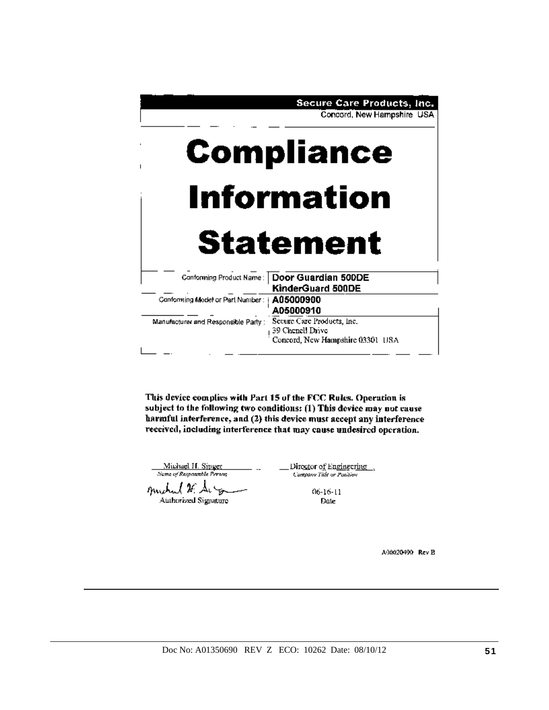

This device complies with Part 15 of the FCC Rules. Operation is subject to the following two conditions: (1) This device may not cause harmful interference, and (2) this device must accept any interference received, including interference that may cause undesired operation.

Michael H. Singer Name of Responsible Person

muchael # Surge **Authorized Signature**  Director of Engineering ... Campany Title or Position

> $06-16-11$ Date

> > A00020490 Rev B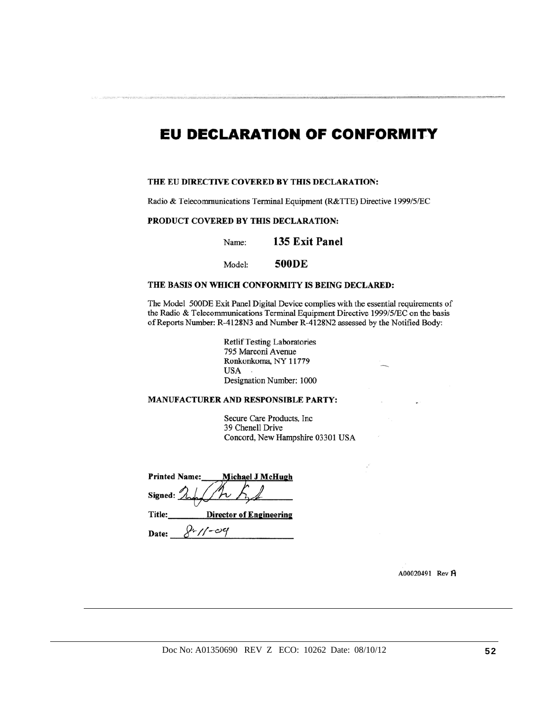## **EU DECLARATION OF CONFORMITY**

#### THE EU DIRECTIVE COVERED BY THIS DECLARATION:

Radio & Telecommunications Terminal Equipment (R&TTE) Directive 1999/5/EC

#### PRODUCT COVERED BY THIS DECLARATION:

135 Exit Panel Name:

**500DE** Model:

#### THE BASIS ON WHICH CONFORMITY IS BEING DECLARED:

The Model 500DE Exit Panel Digital Device complies with the essential requirements of the Radio & Telecommunications Terminal Equipment Directive 1999/5/EC on the basis of Reports Number: R-4128N3 and Number R-4128N2 assessed by the Notified Body:

> **Retlif Testing Laboratories** 795 Marconi Avenue Ronkonkoma, NY 11779 **USA** Designation Number: 1000

#### MANUFACTURER AND RESPONSIBLE PARTY:

Secure Care Products, Inc 39 Chenell Drive Concord, New Hampshire 03301 USA

| <b>Printed Name:</b> | Michael J McHugh               |  |
|----------------------|--------------------------------|--|
| Signed: $\lambda$    |                                |  |
| Title:               | <b>Director of Engineering</b> |  |
| Date:                |                                |  |

A00020491 Rev A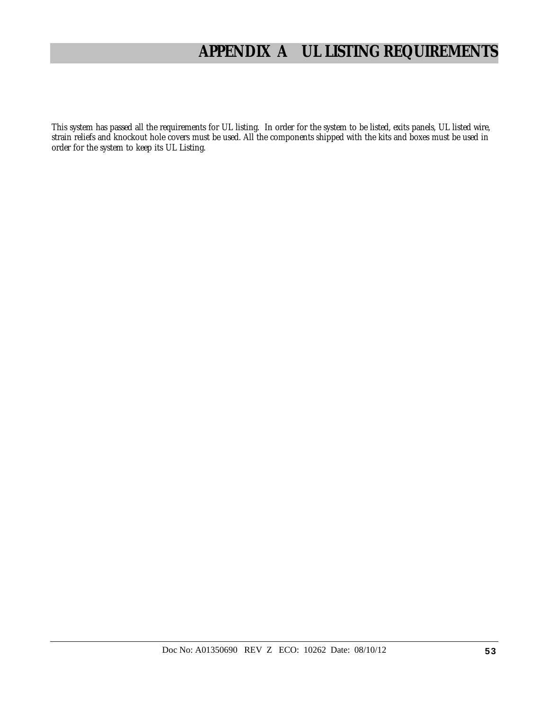# **APPENDIX A UL LISTING REQUIREMENTS**

This system has passed all the requirements for UL listing. In order for the system to be listed, exits panels, UL listed wire, strain reliefs and knockout hole covers must be used. All the components shipped with the kits and boxes must be used in order for the system to keep its UL Listing.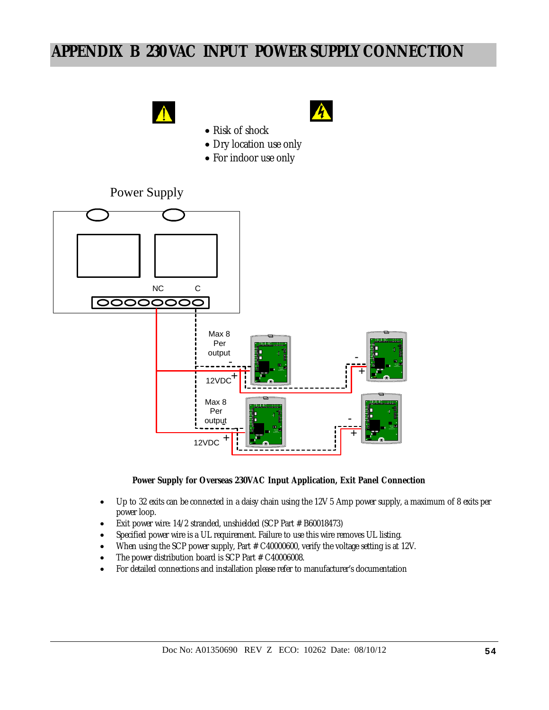# **APPENDIX B 230 VAC INPUT POWER SUPPLY CONNECTION**





- Risk of shock
- Dry location use only
- For indoor use only

### Power Supply



#### **Power Supply for Overseas 230VAC Input Application, Exit Panel Connection**

- Up to 32 exits can be connected in a daisy chain using the 12V 5 Amp power supply, a maximum of 8 exits per power loop.
- Exit power wire: 14/2 stranded, unshielded (SCP Part # B60018473)
- Specified power wire is a UL requirement. Failure to use this wire removes UL listing.
- When using the SCP power supply, Part # C40000600, verify the voltage setting is at 12V.
- The power distribution board is SCP Part # C40006008.
- For detailed connections and installation please refer to manufacturer's documentation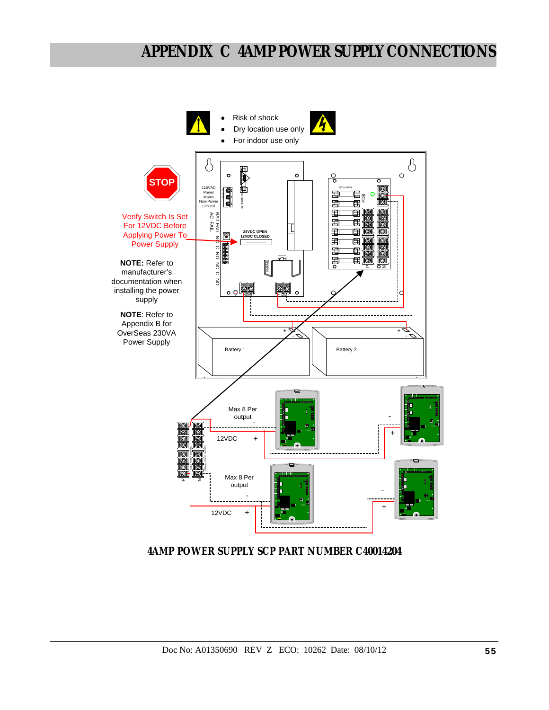# **APPENDIX C 4AMP POWER SUPPLY CONNECTIONS**



**4AMP POWER SUPPLY SCP PART NUMBER C40014204**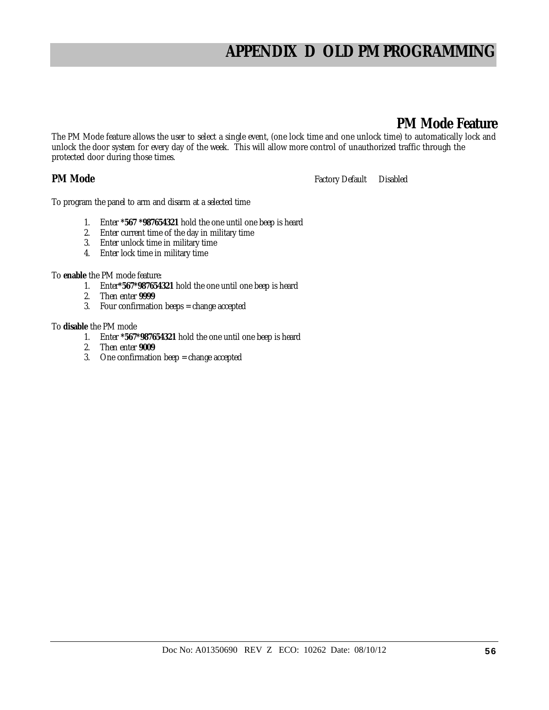# **APPENDIX D OLD PM PROGRAMMING**

### **PM Mode Feature**

The PM Mode feature allows the user to select a single event, (one lock time and one unlock time) to automatically lock and unlock the door system for every day of the week. This will allow more control of unauthorized traffic through the protected door during those times.

**PM Mode Factory Default** Disabled

To program the panel to arm and disarm at a selected time

- 1. Enter **\*567 \*987654321** hold the one until one beep is heard
- 2. Enter current time of the day in military time
- 3. Enter unlock time in military time
- 4. Enter lock time in military time

To **enable** the PM mode feature:

- 1. Enter**\*567\*987654321** hold the one until one beep is heard
- 2. Then enter **9999**
- 3. Four confirmation beeps = change accepted

To **disable** the PM mode

- 1. Enter **\*567\*987654321** hold the one until one beep is heard
- 2. Then enter **9009**
- 3. One confirmation beep = change accepted